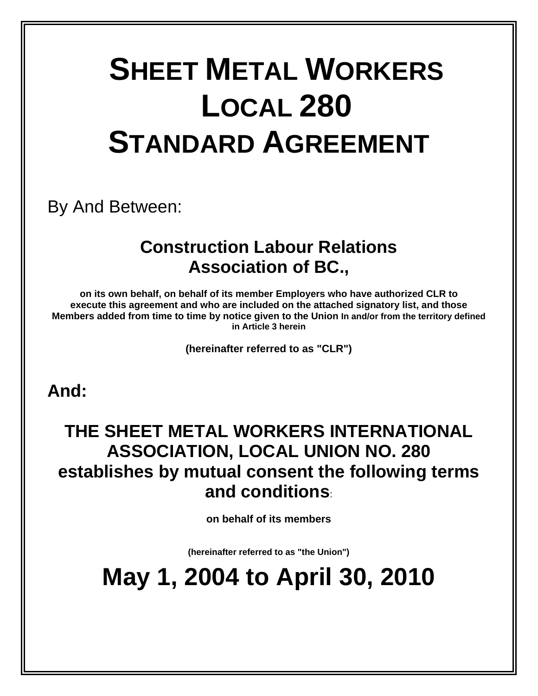# **SHEET METAL WORKERS LOCAL 280 STANDARD AGREEMENT**

By And Between:

### **Construction Labour Relations Association of BC.,**

**on its own behalf, on behalf of its member Employers who have authorized CLR to execute this agreement and who are included on the attached signatory list, and those Members added from time to time by notice given to the Union In and/or from the territory defined in Article 3 herein** 

**(hereinafter referred to as "CLR")** 

**And:** 

### **THE SHEET METAL WORKERS INTERNATIONAL ASSOCIATION, LOCAL UNION NO. 280 establishes by mutual consent the following terms and conditions**:

**on behalf of its members** 

**(hereinafter referred to as "the Union")** 

## **May 1, 2004 to April 30, 2010**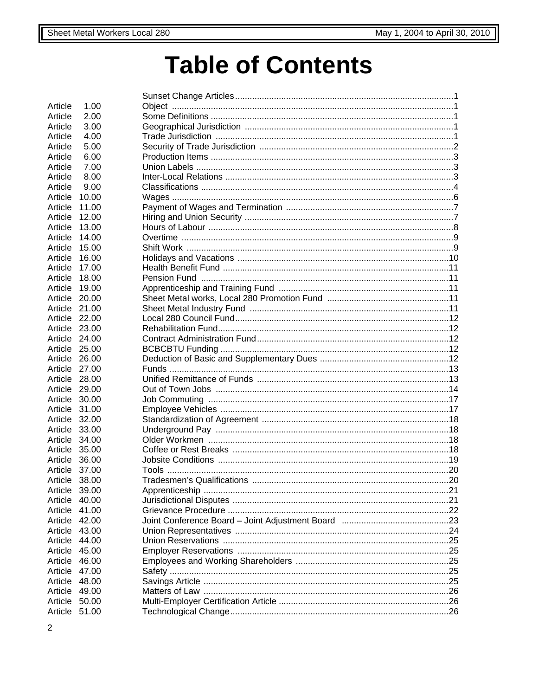## **Table of Contents**

| Article       | 1.00    |      |  |
|---------------|---------|------|--|
| Article       | 2.00    |      |  |
|               |         |      |  |
| Article       | 3.00    |      |  |
| Article       | 4.00    |      |  |
| Article       | 5.00    |      |  |
| Article       | 6.00    |      |  |
| Article       | 7.00    |      |  |
| Article       | 8.00    |      |  |
| Article       | 9.00    |      |  |
| Article       | 10.00   |      |  |
| Article       | 11.00   |      |  |
| Article       | 12.00   |      |  |
| Article       | 13.00   |      |  |
| Article       | 14.00   |      |  |
| Article       | 15.00   |      |  |
| Article       | 16.00   |      |  |
| Article       | 17.00   |      |  |
| Article       | 18.00   |      |  |
| Article       | 19.00   |      |  |
| Article       | 20.00   |      |  |
| Article 21.00 |         |      |  |
| Article 22.00 |         |      |  |
| Article 23.00 |         |      |  |
| Article       | 24.00   |      |  |
| Article       | 25.00   |      |  |
| Article 26.00 |         |      |  |
| Article 27.00 |         |      |  |
| Article       | 28.00   |      |  |
| Article       | 29.00   |      |  |
| Article       | 30.00   |      |  |
| Article       | 31.00   |      |  |
| Article       | 32.00   |      |  |
| Article       | 33.00   |      |  |
| Article       | 34.00   |      |  |
| Article       | 35.00   |      |  |
| Article       | 36.00   |      |  |
| Article       | 37.00   |      |  |
| Article 38.00 |         | . 20 |  |
| Article       | - 39.00 |      |  |
| Article       | 40.00   |      |  |
| Article       | 41.00   |      |  |
| Article       |         |      |  |
|               | 42.00   |      |  |
| Article       | 43.00   |      |  |
| Article       | 44.00   |      |  |
| Article       | 45.00   |      |  |
| Article       | 46.00   |      |  |
| Article       | 47.00   |      |  |
| Article       | 48.00   |      |  |
| Article       | 49.00   |      |  |
| Article       | 50.00   |      |  |
| Article       | 51.00   |      |  |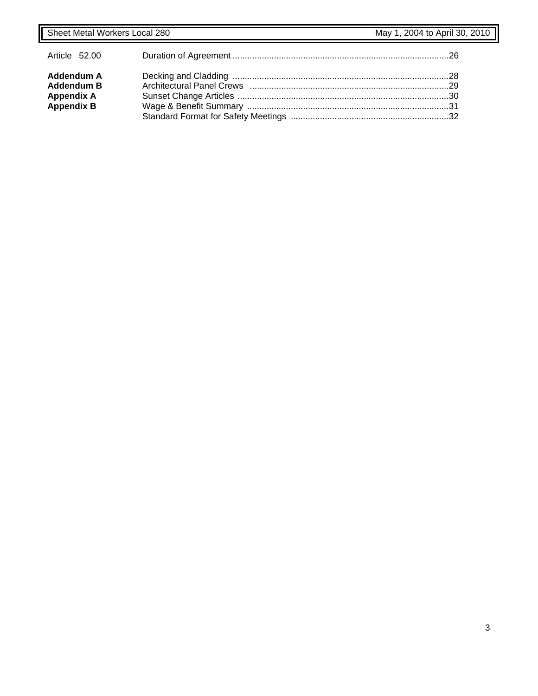| Article 52.00                                                                    |  |
|----------------------------------------------------------------------------------|--|
| <b>Addendum A</b><br><b>Addendum B</b><br><b>Appendix A</b><br><b>Appendix B</b> |  |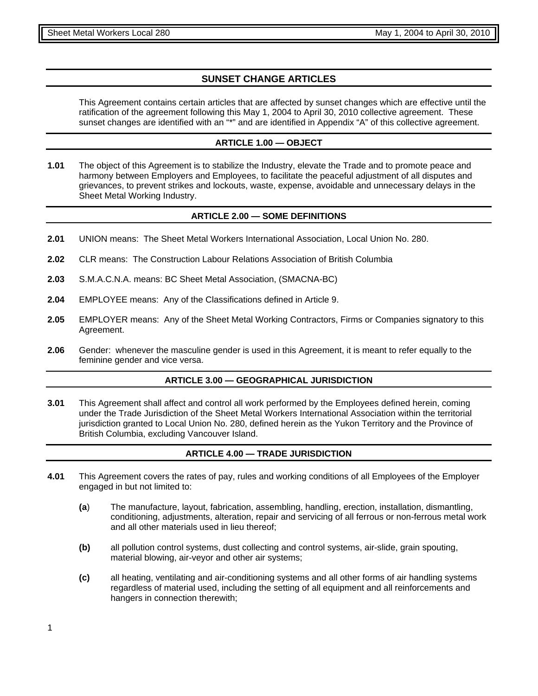#### **SUNSET CHANGE ARTICLES**

This Agreement contains certain articles that are affected by sunset changes which are effective until the ratification of the agreement following this May 1, 2004 to April 30, 2010 collective agreement. These sunset changes are identified with an "\*" and are identified in Appendix "A" of this collective agreement.

#### **ARTICLE 1.00 — OBJECT**

**1.01** The object of this Agreement is to stabilize the Industry, elevate the Trade and to promote peace and harmony between Employers and Employees, to facilitate the peaceful adjustment of all disputes and grievances, to prevent strikes and lockouts, waste, expense, avoidable and unnecessary delays in the Sheet Metal Working Industry.

#### **ARTICLE 2.00 — SOME DEFINITIONS**

- **2.01** UNION means: The Sheet Metal Workers International Association, Local Union No. 280.
- **2.02** CLR means: The Construction Labour Relations Association of British Columbia
- **2.03** S.M.A.C.N.A. means: BC Sheet Metal Association, (SMACNA-BC)
- **2.04** EMPLOYEE means: Any of the Classifications defined in Article 9.
- **2.05** EMPLOYER means: Any of the Sheet Metal Working Contractors, Firms or Companies signatory to this Agreement.
- **2.06** Gender: whenever the masculine gender is used in this Agreement, it is meant to refer equally to the feminine gender and vice versa.

#### **ARTICLE 3.00 — GEOGRAPHICAL JURISDICTION**

**3.01** This Agreement shall affect and control all work performed by the Employees defined herein, coming under the Trade Jurisdiction of the Sheet Metal Workers International Association within the territorial jurisdiction granted to Local Union No. 280, defined herein as the Yukon Territory and the Province of British Columbia, excluding Vancouver Island.

#### **ARTICLE 4.00 — TRADE JURISDICTION**

- **4.01** This Agreement covers the rates of pay, rules and working conditions of all Employees of the Employer engaged in but not limited to:
	- **(a**) The manufacture, layout, fabrication, assembling, handling, erection, installation, dismantling, conditioning, adjustments, alteration, repair and servicing of all ferrous or non-ferrous metal work and all other materials used in lieu thereof;
	- **(b)** all pollution control systems, dust collecting and control systems, air-slide, grain spouting, material blowing, air-veyor and other air systems;
	- **(c)** all heating, ventilating and air-conditioning systems and all other forms of air handling systems regardless of material used, including the setting of all equipment and all reinforcements and hangers in connection therewith;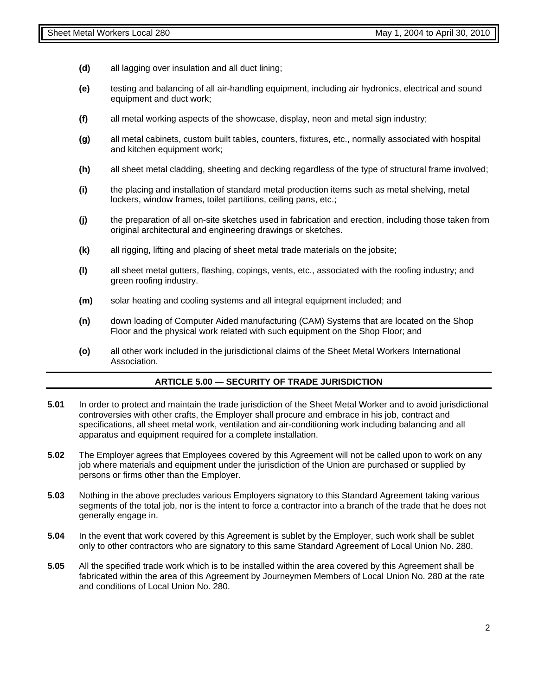- **(d)** all lagging over insulation and all duct lining;
- **(e)** testing and balancing of all air-handling equipment, including air hydronics, electrical and sound equipment and duct work;
- **(f)** all metal working aspects of the showcase, display, neon and metal sign industry;
- **(g)** all metal cabinets, custom built tables, counters, fixtures, etc., normally associated with hospital and kitchen equipment work;
- **(h)** all sheet metal cladding, sheeting and decking regardless of the type of structural frame involved;
- **(i)** the placing and installation of standard metal production items such as metal shelving, metal lockers, window frames, toilet partitions, ceiling pans, etc.;
- **(j)** the preparation of all on-site sketches used in fabrication and erection, including those taken from original architectural and engineering drawings or sketches.
- **(k)** all rigging, lifting and placing of sheet metal trade materials on the jobsite;
- **(l)** all sheet metal gutters, flashing, copings, vents, etc., associated with the roofing industry; and green roofing industry.
- **(m)** solar heating and cooling systems and all integral equipment included; and
- **(n)** down loading of Computer Aided manufacturing (CAM) Systems that are located on the Shop Floor and the physical work related with such equipment on the Shop Floor; and
- **(o)** all other work included in the jurisdictional claims of the Sheet Metal Workers International Association.

#### **ARTICLE 5.00 — SECURITY OF TRADE JURISDICTION**

- **5.01** In order to protect and maintain the trade jurisdiction of the Sheet Metal Worker and to avoid jurisdictional controversies with other crafts, the Employer shall procure and embrace in his job, contract and specifications, all sheet metal work, ventilation and air-conditioning work including balancing and all apparatus and equipment required for a complete installation.
- **5.02** The Employer agrees that Employees covered by this Agreement will not be called upon to work on any job where materials and equipment under the jurisdiction of the Union are purchased or supplied by persons or firms other than the Employer.
- **5.03** Nothing in the above precludes various Employers signatory to this Standard Agreement taking various segments of the total job, nor is the intent to force a contractor into a branch of the trade that he does not generally engage in.
- **5.04** In the event that work covered by this Agreement is sublet by the Employer, such work shall be sublet only to other contractors who are signatory to this same Standard Agreement of Local Union No. 280.
- **5.05** All the specified trade work which is to be installed within the area covered by this Agreement shall be fabricated within the area of this Agreement by Journeymen Members of Local Union No. 280 at the rate and conditions of Local Union No. 280.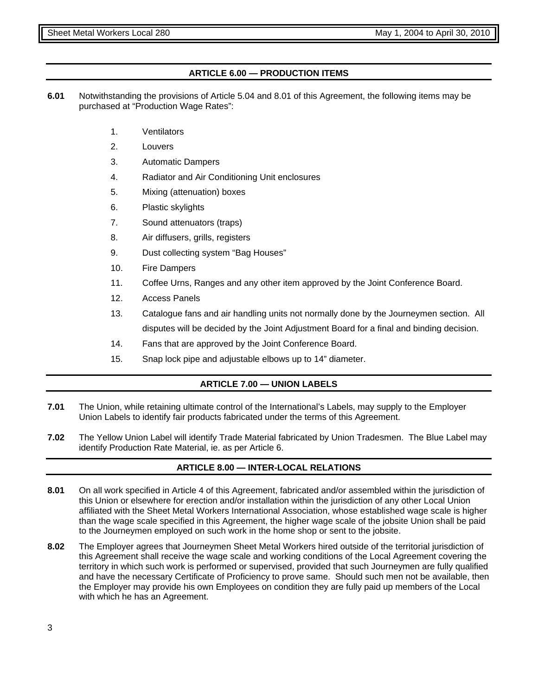#### **ARTICLE 6.00 — PRODUCTION ITEMS**

- **6.01** Notwithstanding the provisions of Article 5.04 and 8.01 of this Agreement, the following items may be purchased at "Production Wage Rates":
	- 1. Ventilators
	- 2. Louvers
	- 3. Automatic Dampers
	- 4. Radiator and Air Conditioning Unit enclosures
	- 5. Mixing (attenuation) boxes
	- 6. Plastic skylights
	- 7. Sound attenuators (traps)
	- 8. Air diffusers, grills, registers
	- 9. Dust collecting system "Bag Houses"
	- 10. Fire Dampers
	- 11. Coffee Urns, Ranges and any other item approved by the Joint Conference Board.
	- 12. Access Panels
	- 13. Catalogue fans and air handling units not normally done by the Journeymen section. All disputes will be decided by the Joint Adjustment Board for a final and binding decision.
	- 14. Fans that are approved by the Joint Conference Board.
	- 15. Snap lock pipe and adjustable elbows up to 14" diameter.

#### **ARTICLE 7.00 — UNION LABELS**

- **7.01** The Union, while retaining ultimate control of the International's Labels, may supply to the Employer Union Labels to identify fair products fabricated under the terms of this Agreement.
- **7.02** The Yellow Union Label will identify Trade Material fabricated by Union Tradesmen. The Blue Label may identify Production Rate Material, ie. as per Article 6.

#### **ARTICLE 8.00 — INTER-LOCAL RELATIONS**

- **8.01** On all work specified in Article 4 of this Agreement, fabricated and/or assembled within the jurisdiction of this Union or elsewhere for erection and/or installation within the jurisdiction of any other Local Union affiliated with the Sheet Metal Workers International Association, whose established wage scale is higher than the wage scale specified in this Agreement, the higher wage scale of the jobsite Union shall be paid to the Journeymen employed on such work in the home shop or sent to the jobsite.
- **8.02** The Employer agrees that Journeymen Sheet Metal Workers hired outside of the territorial jurisdiction of this Agreement shall receive the wage scale and working conditions of the Local Agreement covering the territory in which such work is performed or supervised, provided that such Journeymen are fully qualified and have the necessary Certificate of Proficiency to prove same. Should such men not be available, then the Employer may provide his own Employees on condition they are fully paid up members of the Local with which he has an Agreement.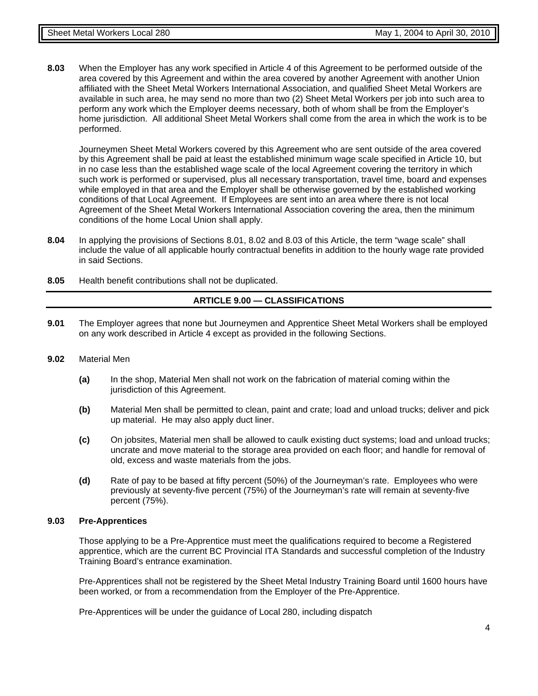**8.03** When the Employer has any work specified in Article 4 of this Agreement to be performed outside of the area covered by this Agreement and within the area covered by another Agreement with another Union affiliated with the Sheet Metal Workers International Association, and qualified Sheet Metal Workers are available in such area, he may send no more than two (2) Sheet Metal Workers per job into such area to perform any work which the Employer deems necessary, both of whom shall be from the Employer's home jurisdiction. All additional Sheet Metal Workers shall come from the area in which the work is to be performed.

Journeymen Sheet Metal Workers covered by this Agreement who are sent outside of the area covered by this Agreement shall be paid at least the established minimum wage scale specified in Article 10, but in no case less than the established wage scale of the local Agreement covering the territory in which such work is performed or supervised, plus all necessary transportation, travel time, board and expenses while employed in that area and the Employer shall be otherwise governed by the established working conditions of that Local Agreement. If Employees are sent into an area where there is not local Agreement of the Sheet Metal Workers International Association covering the area, then the minimum conditions of the home Local Union shall apply.

- **8.04** In applying the provisions of Sections 8.01, 8.02 and 8.03 of this Article, the term "wage scale" shall include the value of all applicable hourly contractual benefits in addition to the hourly wage rate provided in said Sections.
- **8.05** Health benefit contributions shall not be duplicated.

#### **ARTICLE 9.00 — CLASSIFICATIONS**

- **9.01** The Employer agrees that none but Journeymen and Apprentice Sheet Metal Workers shall be employed on any work described in Article 4 except as provided in the following Sections.
- **9.02** Material Men
	- **(a)** In the shop, Material Men shall not work on the fabrication of material coming within the jurisdiction of this Agreement.
	- **(b)** Material Men shall be permitted to clean, paint and crate; load and unload trucks; deliver and pick up material. He may also apply duct liner.
	- **(c)** On jobsites, Material men shall be allowed to caulk existing duct systems; load and unload trucks; uncrate and move material to the storage area provided on each floor; and handle for removal of old, excess and waste materials from the jobs.
	- **(d)** Rate of pay to be based at fifty percent (50%) of the Journeyman's rate. Employees who were previously at seventy-five percent (75%) of the Journeyman's rate will remain at seventy-five percent (75%).

#### **9.03 Pre-Apprentices**

Those applying to be a Pre-Apprentice must meet the qualifications required to become a Registered apprentice, which are the current BC Provincial ITA Standards and successful completion of the Industry Training Board's entrance examination.

Pre-Apprentices shall not be registered by the Sheet Metal Industry Training Board until 1600 hours have been worked, or from a recommendation from the Employer of the Pre-Apprentice.

Pre-Apprentices will be under the guidance of Local 280, including dispatch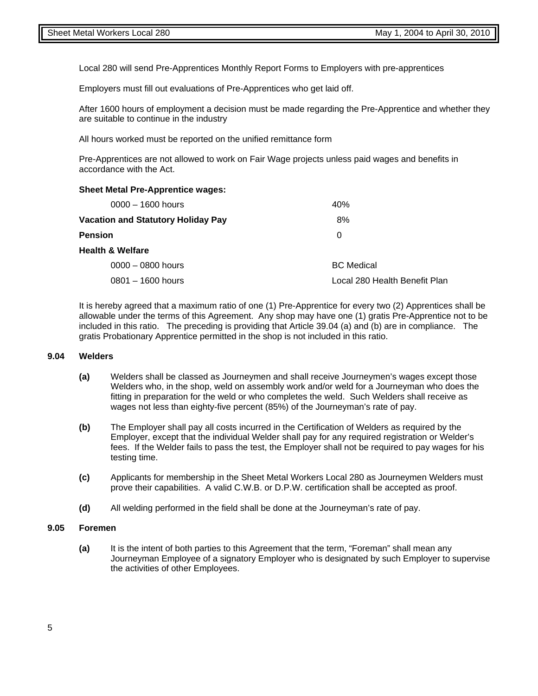Local 280 will send Pre-Apprentices Monthly Report Forms to Employers with pre-apprentices

Employers must fill out evaluations of Pre-Apprentices who get laid off.

 After 1600 hours of employment a decision must be made regarding the Pre-Apprentice and whether they are suitable to continue in the industry

All hours worked must be reported on the unified remittance form

 Pre-Apprentices are not allowed to work on Fair Wage projects unless paid wages and benefits in accordance with the Act.

#### **Sheet Metal Pre-Apprentice wages:**

| $0000 - 1600$ hours                       | 40%                           |
|-------------------------------------------|-------------------------------|
| <b>Vacation and Statutory Holiday Pay</b> | 8%                            |
| <b>Pension</b>                            | 0                             |
| <b>Health &amp; Welfare</b>               |                               |
| $0000 - 0800$ hours                       | <b>BC</b> Medical             |
| $0801 - 1600$ hours                       | Local 280 Health Benefit Plan |

 It is hereby agreed that a maximum ratio of one (1) Pre-Apprentice for every two (2) Apprentices shall be allowable under the terms of this Agreement. Any shop may have one (1) gratis Pre-Apprentice not to be included in this ratio. The preceding is providing that Article 39.04 (a) and (b) are in compliance. The gratis Probationary Apprentice permitted in the shop is not included in this ratio.

#### **9.04 Welders**

- **(a)** Welders shall be classed as Journeymen and shall receive Journeymen's wages except those Welders who, in the shop, weld on assembly work and/or weld for a Journeyman who does the fitting in preparation for the weld or who completes the weld. Such Welders shall receive as wages not less than eighty-five percent (85%) of the Journeyman's rate of pay.
- **(b)** The Employer shall pay all costs incurred in the Certification of Welders as required by the Employer, except that the individual Welder shall pay for any required registration or Welder's fees. If the Welder fails to pass the test, the Employer shall not be required to pay wages for his testing time.
- **(c)** Applicants for membership in the Sheet Metal Workers Local 280 as Journeymen Welders must prove their capabilities. A valid C.W.B. or D.P.W. certification shall be accepted as proof.
- **(d)** All welding performed in the field shall be done at the Journeyman's rate of pay.

#### **9.05 Foremen**

**(a)** It is the intent of both parties to this Agreement that the term, "Foreman" shall mean any Journeyman Employee of a signatory Employer who is designated by such Employer to supervise the activities of other Employees.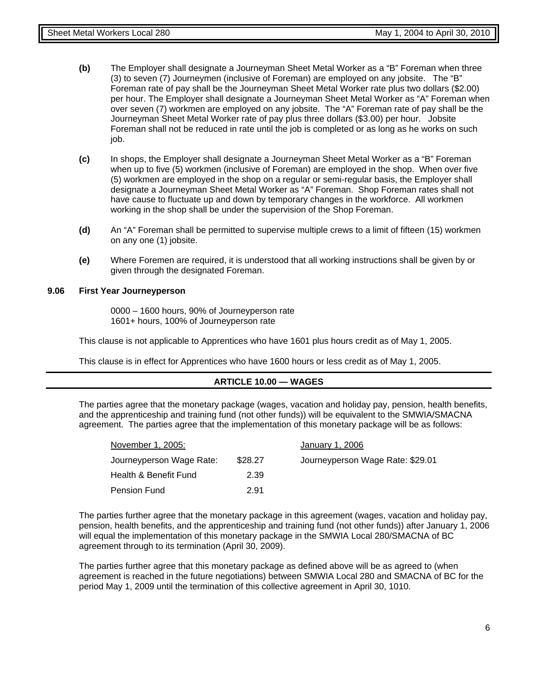- **(b)** The Employer shall designate a Journeyman Sheet Metal Worker as a "B" Foreman when three (3) to seven (7) Journeymen (inclusive of Foreman) are employed on any jobsite. The "B" Foreman rate of pay shall be the Journeyman Sheet Metal Worker rate plus two dollars (\$2.00) per hour. The Employer shall designate a Journeyman Sheet Metal Worker as "A" Foreman when over seven (7) workmen are employed on any jobsite. The "A" Foreman rate of pay shall be the Journeyman Sheet Metal Worker rate of pay plus three dollars (\$3.00) per hour. Jobsite Foreman shall not be reduced in rate until the job is completed or as long as he works on such job.
- **(c)** In shops, the Employer shall designate a Journeyman Sheet Metal Worker as a "B" Foreman when up to five (5) workmen (inclusive of Foreman) are employed in the shop. When over five (5) workmen are employed in the shop on a regular or semi-regular basis, the Employer shall designate a Journeyman Sheet Metal Worker as "A" Foreman. Shop Foreman rates shall not have cause to fluctuate up and down by temporary changes in the workforce. All workmen working in the shop shall be under the supervision of the Shop Foreman.
- **(d)** An "A" Foreman shall be permitted to supervise multiple crews to a limit of fifteen (15) workmen on any one (1) jobsite.
- **(e)** Where Foremen are required, it is understood that all working instructions shall be given by or given through the designated Foreman.

#### **9.06 First Year Journeyperson**

 0000 – 1600 hours, 90% of Journeyperson rate 1601+ hours, 100% of Journeyperson rate

This clause is not applicable to Apprentices who have 1601 plus hours credit as of May 1, 2005.

This clause is in effect for Apprentices who have 1600 hours or less credit as of May 1, 2005.

#### **ARTICLE 10.00 — WAGES**

The parties agree that the monetary package (wages, vacation and holiday pay, pension, health benefits, and the apprenticeship and training fund (not other funds)) will be equivalent to the SMWIA/SMACNA agreement. The parties agree that the implementation of this monetary package will be as follows:

| November 1, 2005:        | January 1, 2006 |                                  |  |  |
|--------------------------|-----------------|----------------------------------|--|--|
| Journeyperson Wage Rate: | \$28.27         | Journeyperson Wage Rate: \$29.01 |  |  |
| Health & Benefit Fund    | 2.39            |                                  |  |  |
| Pension Fund             | 2.91            |                                  |  |  |

The parties further agree that the monetary package in this agreement (wages, vacation and holiday pay, pension, health benefits, and the apprenticeship and training fund (not other funds)) after January 1, 2006 will equal the implementation of this monetary package in the SMWIA Local 280/SMACNA of BC agreement through to its termination (April 30, 2009).

The parties further agree that this monetary package as defined above will be as agreed to (when agreement is reached in the future negotiations) between SMWIA Local 280 and SMACNA of BC for the period May 1, 2009 until the termination of this collective agreement in April 30, 1010.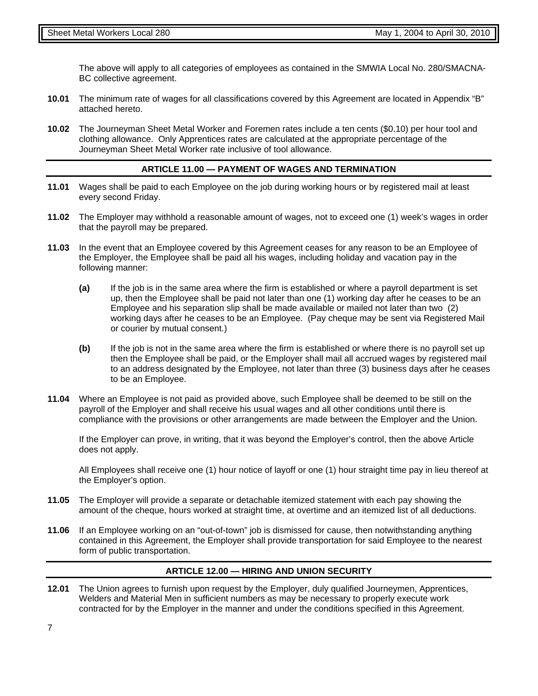The above will apply to all categories of employees as contained in the SMWIA Local No. 280/SMACNA-BC collective agreement.

- **10.01** The minimum rate of wages for all classifications covered by this Agreement are located in Appendix "B" attached hereto.
- **10.02** The Journeyman Sheet Metal Worker and Foremen rates include a ten cents (\$0.10) per hour tool and clothing allowance. Only Apprentices rates are calculated at the appropriate percentage of the Journeyman Sheet Metal Worker rate inclusive of tool allowance.

#### **ARTICLE 11.00 — PAYMENT OF WAGES AND TERMINATION**

- **11.01** Wages shall be paid to each Employee on the job during working hours or by registered mail at least every second Friday.
- **11.02** The Employer may withhold a reasonable amount of wages, not to exceed one (1) week's wages in order that the payroll may be prepared.
- **11.03** In the event that an Employee covered by this Agreement ceases for any reason to be an Employee of the Employer, the Employee shall be paid all his wages, including holiday and vacation pay in the following manner:
	- **(a)** If the job is in the same area where the firm is established or where a payroll department is set up, then the Employee shall be paid not later than one (1) working day after he ceases to be an Employee and his separation slip shall be made available or mailed not later than two (2) working days after he ceases to be an Employee. (Pay cheque may be sent via Registered Mail or courier by mutual consent.)
	- **(b)** If the job is not in the same area where the firm is established or where there is no payroll set up then the Employee shall be paid, or the Employer shall mail all accrued wages by registered mail to an address designated by the Employee, not later than three (3) business days after he ceases to be an Employee.
- **11.04** Where an Employee is not paid as provided above, such Employee shall be deemed to be still on the payroll of the Employer and shall receive his usual wages and all other conditions until there is compliance with the provisions or other arrangements are made between the Employer and the Union.

If the Employer can prove, in writing, that it was beyond the Employer's control, then the above Article does not apply.

All Employees shall receive one (1) hour notice of layoff or one (1) hour straight time pay in lieu thereof at the Employer's option.

- **11.05** The Employer will provide a separate or detachable itemized statement with each pay showing the amount of the cheque, hours worked at straight time, at overtime and an itemized list of all deductions.
- **11.06** If an Employee working on an "out-of-town" job is dismissed for cause, then notwithstanding anything contained in this Agreement, the Employer shall provide transportation for said Employee to the nearest form of public transportation.

#### **ARTICLE 12.00 — HIRING AND UNION SECURITY**

**12.01** The Union agrees to furnish upon request by the Employer, duly qualified Journeymen, Apprentices, Welders and Material Men in sufficient numbers as may be necessary to properly execute work contracted for by the Employer in the manner and under the conditions specified in this Agreement.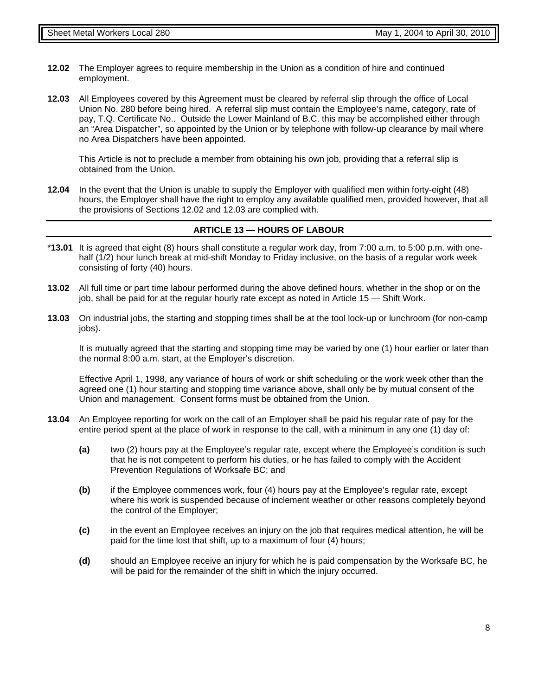- **12.02** The Employer agrees to require membership in the Union as a condition of hire and continued employment.
- **12.03** All Employees covered by this Agreement must be cleared by referral slip through the office of Local Union No. 280 before being hired. A referral slip must contain the Employee's name, category, rate of pay, T.Q. Certificate No.. Outside the Lower Mainland of B.C. this may be accomplished either through an "Area Dispatcher", so appointed by the Union or by telephone with follow-up clearance by mail where no Area Dispatchers have been appointed.

This Article is not to preclude a member from obtaining his own job, providing that a referral slip is obtained from the Union.

**12.04** In the event that the Union is unable to supply the Employer with qualified men within forty-eight (48) hours, the Employer shall have the right to employ any available qualified men, provided however, that all the provisions of Sections 12.02 and 12.03 are complied with.

#### **ARTICLE 13 — HOURS OF LABOUR**

- \***13.01** It is agreed that eight (8) hours shall constitute a regular work day, from 7:00 a.m. to 5:00 p.m. with onehalf (1/2) hour lunch break at mid-shift Monday to Friday inclusive, on the basis of a regular work week consisting of forty (40) hours.
- **13.02** All full time or part time labour performed during the above defined hours, whether in the shop or on the job, shall be paid for at the regular hourly rate except as noted in Article 15 — Shift Work.
- **13.03** On industrial jobs, the starting and stopping times shall be at the tool lock-up or lunchroom (for non-camp jobs).

It is mutually agreed that the starting and stopping time may be varied by one (1) hour earlier or later than the normal 8:00 a.m. start, at the Employer's discretion.

Effective April 1, 1998, any variance of hours of work or shift scheduling or the work week other than the agreed one (1) hour starting and stopping time variance above, shall only be by mutual consent of the Union and management. Consent forms must be obtained from the Union.

- **13.04** An Employee reporting for work on the call of an Employer shall be paid his regular rate of pay for the entire period spent at the place of work in response to the call, with a minimum in any one (1) day of:
	- **(a)** two (2) hours pay at the Employee's regular rate, except where the Employee's condition is such that he is not competent to perform his duties, or he has failed to comply with the Accident Prevention Regulations of Worksafe BC; and
	- **(b)** if the Employee commences work, four (4) hours pay at the Employee's regular rate, except where his work is suspended because of inclement weather or other reasons completely beyond the control of the Employer;
	- **(c)** in the event an Employee receives an injury on the job that requires medical attention, he will be paid for the time lost that shift, up to a maximum of four (4) hours;
	- **(d)** should an Employee receive an injury for which he is paid compensation by the Worksafe BC, he will be paid for the remainder of the shift in which the injury occurred.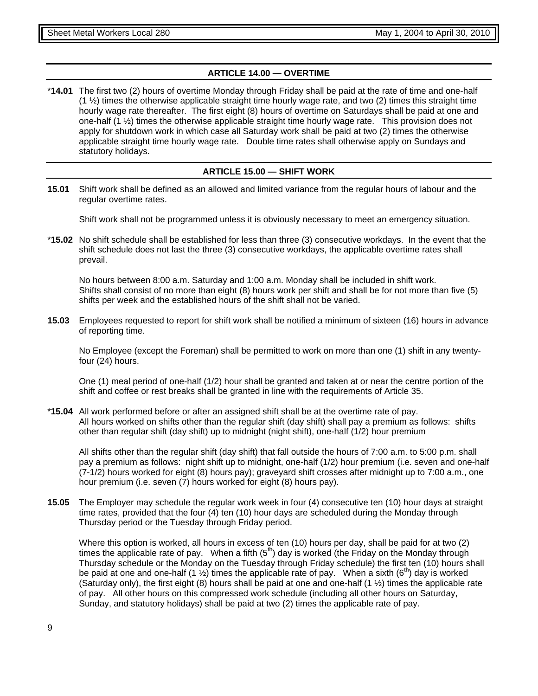#### **ARTICLE 14.00 — OVERTIME**

\***14.01** The first two (2) hours of overtime Monday through Friday shall be paid at the rate of time and one-half  $(1 \frac{1}{2})$  times the otherwise applicable straight time hourly wage rate, and two  $(2)$  times this straight time hourly wage rate thereafter. The first eight (8) hours of overtime on Saturdays shall be paid at one and one-half (1 ½) times the otherwise applicable straight time hourly wage rate. This provision does not apply for shutdown work in which case all Saturday work shall be paid at two (2) times the otherwise applicable straight time hourly wage rate. Double time rates shall otherwise apply on Sundays and statutory holidays.

#### **ARTICLE 15.00 — SHIFT WORK**

**15.01** Shift work shall be defined as an allowed and limited variance from the regular hours of labour and the regular overtime rates.

Shift work shall not be programmed unless it is obviously necessary to meet an emergency situation.

\***15.02** No shift schedule shall be established for less than three (3) consecutive workdays. In the event that the shift schedule does not last the three (3) consecutive workdays, the applicable overtime rates shall prevail.

No hours between 8:00 a.m. Saturday and 1:00 a.m. Monday shall be included in shift work. Shifts shall consist of no more than eight (8) hours work per shift and shall be for not more than five (5) shifts per week and the established hours of the shift shall not be varied.

**15.03** Employees requested to report for shift work shall be notified a minimum of sixteen (16) hours in advance of reporting time.

No Employee (except the Foreman) shall be permitted to work on more than one (1) shift in any twentyfour (24) hours.

One (1) meal period of one-half (1/2) hour shall be granted and taken at or near the centre portion of the shift and coffee or rest breaks shall be granted in line with the requirements of Article 35.

\***15.04** All work performed before or after an assigned shift shall be at the overtime rate of pay. All hours worked on shifts other than the regular shift (day shift) shall pay a premium as follows: shifts other than regular shift (day shift) up to midnight (night shift), one-half (1/2) hour premium

All shifts other than the regular shift (day shift) that fall outside the hours of 7:00 a.m. to 5:00 p.m. shall pay a premium as follows: night shift up to midnight, one-half (1/2) hour premium (i.e. seven and one-half (7-1/2) hours worked for eight (8) hours pay); graveyard shift crosses after midnight up to 7:00 a.m., one hour premium (i.e. seven (7) hours worked for eight (8) hours pay).

**15.05** The Employer may schedule the regular work week in four (4) consecutive ten (10) hour days at straight time rates, provided that the four (4) ten (10) hour days are scheduled during the Monday through Thursday period or the Tuesday through Friday period.

Where this option is worked, all hours in excess of ten (10) hours per day, shall be paid for at two (2) times the applicable rate of pay. When a fifth  $(5<sup>th</sup>)$  day is worked (the Friday on the Monday through Thursday schedule or the Monday on the Tuesday through Friday schedule) the first ten (10) hours shall be paid at one and one-half (1  $\frac{1}{2}$ ) times the applicable rate of pay. When a sixth (6<sup>th</sup>) day is worked (Saturday only), the first eight (8) hours shall be paid at one and one-half  $(1 \frac{1}{2})$  times the applicable rate of pay. All other hours on this compressed work schedule (including all other hours on Saturday, Sunday, and statutory holidays) shall be paid at two (2) times the applicable rate of pay.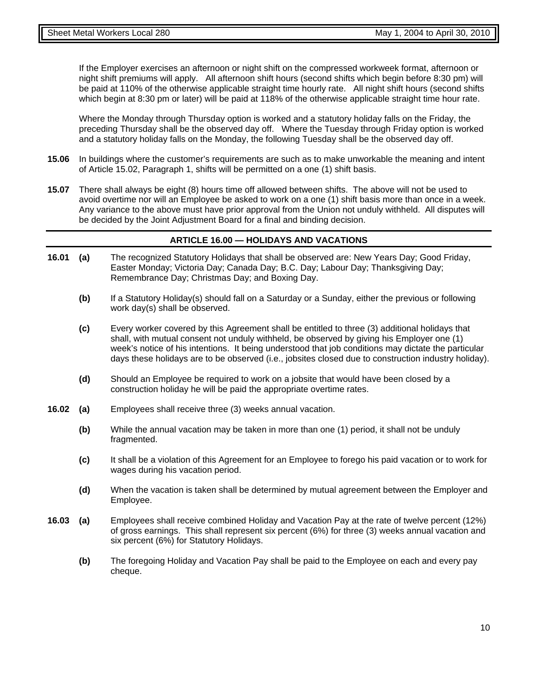If the Employer exercises an afternoon or night shift on the compressed workweek format, afternoon or night shift premiums will apply. All afternoon shift hours (second shifts which begin before 8:30 pm) will be paid at 110% of the otherwise applicable straight time hourly rate. All night shift hours (second shifts which begin at 8:30 pm or later) will be paid at 118% of the otherwise applicable straight time hour rate.

Where the Monday through Thursday option is worked and a statutory holiday falls on the Friday, the preceding Thursday shall be the observed day off. Where the Tuesday through Friday option is worked and a statutory holiday falls on the Monday, the following Tuesday shall be the observed day off.

- **15.06** In buildings where the customer's requirements are such as to make unworkable the meaning and intent of Article 15.02, Paragraph 1, shifts will be permitted on a one (1) shift basis.
- **15.07** There shall always be eight (8) hours time off allowed between shifts. The above will not be used to avoid overtime nor will an Employee be asked to work on a one (1) shift basis more than once in a week. Any variance to the above must have prior approval from the Union not unduly withheld. All disputes will be decided by the Joint Adjustment Board for a final and binding decision.

#### **ARTICLE 16.00 — HOLIDAYS AND VACATIONS**

- **16.01 (a)** The recognized Statutory Holidays that shall be observed are: New Years Day; Good Friday, Easter Monday; Victoria Day; Canada Day; B.C. Day; Labour Day; Thanksgiving Day; Remembrance Day; Christmas Day; and Boxing Day.
	- **(b)** If a Statutory Holiday(s) should fall on a Saturday or a Sunday, either the previous or following work day(s) shall be observed.
	- **(c)** Every worker covered by this Agreement shall be entitled to three (3) additional holidays that shall, with mutual consent not unduly withheld, be observed by giving his Employer one (1) week's notice of his intentions. It being understood that job conditions may dictate the particular days these holidays are to be observed (i.e., jobsites closed due to construction industry holiday).
	- **(d)** Should an Employee be required to work on a jobsite that would have been closed by a construction holiday he will be paid the appropriate overtime rates.
- **16.02 (a)** Employees shall receive three (3) weeks annual vacation.
	- **(b)** While the annual vacation may be taken in more than one (1) period, it shall not be unduly fragmented.
	- **(c)** It shall be a violation of this Agreement for an Employee to forego his paid vacation or to work for wages during his vacation period.
	- **(d)** When the vacation is taken shall be determined by mutual agreement between the Employer and Employee.
- **16.03 (a)** Employees shall receive combined Holiday and Vacation Pay at the rate of twelve percent (12%) of gross earnings. This shall represent six percent (6%) for three (3) weeks annual vacation and six percent (6%) for Statutory Holidays.
	- **(b)** The foregoing Holiday and Vacation Pay shall be paid to the Employee on each and every pay cheque.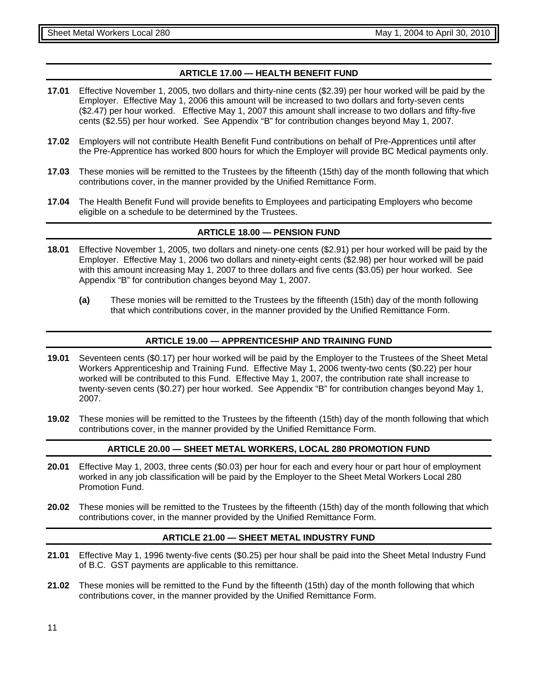#### **ARTICLE 17.00 — HEALTH BENEFIT FUND**

- **17.01** Effective November 1, 2005, two dollars and thirty-nine cents (\$2.39) per hour worked will be paid by the Employer. Effective May 1, 2006 this amount will be increased to two dollars and forty-seven cents (\$2.47) per hour worked. Effective May 1, 2007 this amount shall increase to two dollars and fifty-five cents (\$2.55) per hour worked. See Appendix "B" for contribution changes beyond May 1, 2007.
- **17.02** Employers will not contribute Health Benefit Fund contributions on behalf of Pre-Apprentices until after the Pre-Apprentice has worked 800 hours for which the Employer will provide BC Medical payments only.
- **17.03** These monies will be remitted to the Trustees by the fifteenth (15th) day of the month following that which contributions cover, in the manner provided by the Unified Remittance Form.
- **17.04** The Health Benefit Fund will provide benefits to Employees and participating Employers who become eligible on a schedule to be determined by the Trustees.

#### **ARTICLE 18.00 — PENSION FUND**

- **18.01** Effective November 1, 2005, two dollars and ninety-one cents (\$2.91) per hour worked will be paid by the Employer. Effective May 1, 2006 two dollars and ninety-eight cents (\$2.98) per hour worked will be paid with this amount increasing May 1, 2007 to three dollars and five cents (\$3.05) per hour worked. See Appendix "B" for contribution changes beyond May 1, 2007.
	- **(a)** These monies will be remitted to the Trustees by the fifteenth (15th) day of the month following that which contributions cover, in the manner provided by the Unified Remittance Form.

#### **ARTICLE 19.00 — APPRENTICESHIP AND TRAINING FUND**

- **19.01** Seventeen cents (\$0.17) per hour worked will be paid by the Employer to the Trustees of the Sheet Metal Workers Apprenticeship and Training Fund. Effective May 1, 2006 twenty-two cents (\$0.22) per hour worked will be contributed to this Fund. Effective May 1, 2007, the contribution rate shall increase to twenty-seven cents (\$0.27) per hour worked. See Appendix "B" for contribution changes beyond May 1, 2007.
- **19.02** These monies will be remitted to the Trustees by the fifteenth (15th) day of the month following that which contributions cover, in the manner provided by the Unified Remittance Form.

#### **ARTICLE 20.00 — SHEET METAL WORKERS, LOCAL 280 PROMOTION FUND**

- **20.01** Effective May 1, 2003, three cents (\$0.03) per hour for each and every hour or part hour of employment worked in any job classification will be paid by the Employer to the Sheet Metal Workers Local 280 Promotion Fund.
- **20.02** These monies will be remitted to the Trustees by the fifteenth (15th) day of the month following that which contributions cover, in the manner provided by the Unified Remittance Form.

#### **ARTICLE 21.00 — SHEET METAL INDUSTRY FUND**

- **21.01** Effective May 1, 1996 twenty-five cents (\$0.25) per hour shall be paid into the Sheet Metal Industry Fund of B.C. GST payments are applicable to this remittance.
- **21.02** These monies will be remitted to the Fund by the fifteenth (15th) day of the month following that which contributions cover, in the manner provided by the Unified Remittance Form.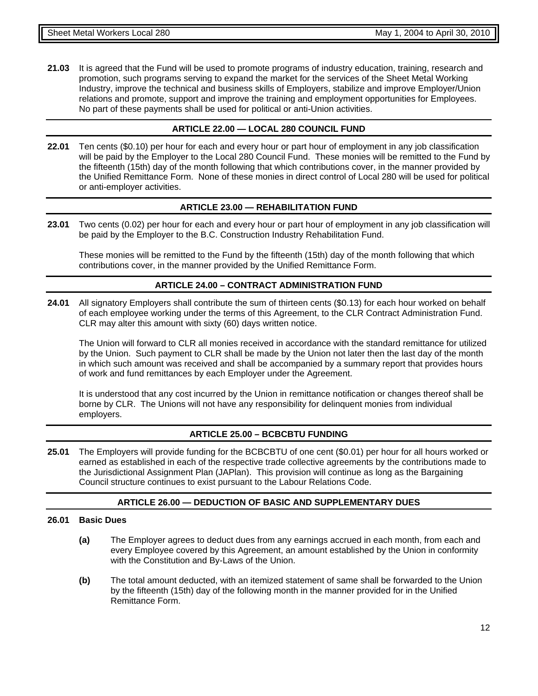**21.03** It is agreed that the Fund will be used to promote programs of industry education, training, research and promotion, such programs serving to expand the market for the services of the Sheet Metal Working Industry, improve the technical and business skills of Employers, stabilize and improve Employer/Union relations and promote, support and improve the training and employment opportunities for Employees. No part of these payments shall be used for political or anti-Union activities.

#### **ARTICLE 22.00 — LOCAL 280 COUNCIL FUND**

**22.01** Ten cents (\$0.10) per hour for each and every hour or part hour of employment in any job classification will be paid by the Employer to the Local 280 Council Fund. These monies will be remitted to the Fund by the fifteenth (15th) day of the month following that which contributions cover, in the manner provided by the Unified Remittance Form. None of these monies in direct control of Local 280 will be used for political or anti-employer activities.

#### **ARTICLE 23.00 — REHABILITATION FUND**

**23.01** Two cents (0.02) per hour for each and every hour or part hour of employment in any job classification will be paid by the Employer to the B.C. Construction Industry Rehabilitation Fund.

These monies will be remitted to the Fund by the fifteenth (15th) day of the month following that which contributions cover, in the manner provided by the Unified Remittance Form.

#### **ARTICLE 24.00 – CONTRACT ADMINISTRATION FUND**

**24.01** All signatory Employers shall contribute the sum of thirteen cents (\$0.13) for each hour worked on behalf of each employee working under the terms of this Agreement, to the CLR Contract Administration Fund. CLR may alter this amount with sixty (60) days written notice.

The Union will forward to CLR all monies received in accordance with the standard remittance for utilized by the Union. Such payment to CLR shall be made by the Union not later then the last day of the month in which such amount was received and shall be accompanied by a summary report that provides hours of work and fund remittances by each Employer under the Agreement.

It is understood that any cost incurred by the Union in remittance notification or changes thereof shall be borne by CLR. The Unions will not have any responsibility for delinquent monies from individual employers.

#### **ARTICLE 25.00 – BCBCBTU FUNDING**

**25.01** The Employers will provide funding for the BCBCBTU of one cent (\$0.01) per hour for all hours worked or earned as established in each of the respective trade collective agreements by the contributions made to the Jurisdictional Assignment Plan (JAPlan). This provision will continue as long as the Bargaining Council structure continues to exist pursuant to the Labour Relations Code.

#### **ARTICLE 26.00 — DEDUCTION OF BASIC AND SUPPLEMENTARY DUES**

#### **26.01 Basic Dues**

- **(a)** The Employer agrees to deduct dues from any earnings accrued in each month, from each and every Employee covered by this Agreement, an amount established by the Union in conformity with the Constitution and By-Laws of the Union.
- **(b)** The total amount deducted, with an itemized statement of same shall be forwarded to the Union by the fifteenth (15th) day of the following month in the manner provided for in the Unified Remittance Form.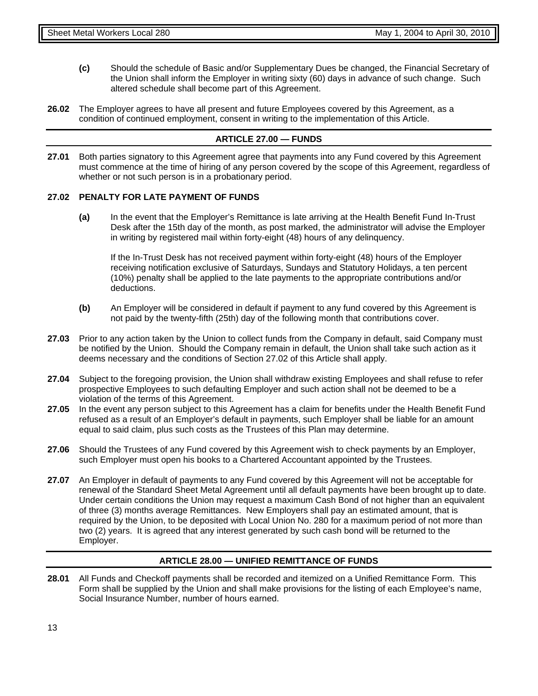- **(c)** Should the schedule of Basic and/or Supplementary Dues be changed, the Financial Secretary of the Union shall inform the Employer in writing sixty (60) days in advance of such change. Such altered schedule shall become part of this Agreement.
- **26.02** The Employer agrees to have all present and future Employees covered by this Agreement, as a condition of continued employment, consent in writing to the implementation of this Article.

#### **ARTICLE 27.00 — FUNDS**

**27.01** Both parties signatory to this Agreement agree that payments into any Fund covered by this Agreement must commence at the time of hiring of any person covered by the scope of this Agreement, regardless of whether or not such person is in a probationary period.

#### **27.02 PENALTY FOR LATE PAYMENT OF FUNDS**

**(a)** In the event that the Employer's Remittance is late arriving at the Health Benefit Fund In-Trust Desk after the 15th day of the month, as post marked, the administrator will advise the Employer in writing by registered mail within forty-eight (48) hours of any delinquency.

If the In-Trust Desk has not received payment within forty-eight (48) hours of the Employer receiving notification exclusive of Saturdays, Sundays and Statutory Holidays, a ten percent (10%) penalty shall be applied to the late payments to the appropriate contributions and/or deductions.

- **(b)** An Employer will be considered in default if payment to any fund covered by this Agreement is not paid by the twenty-fifth (25th) day of the following month that contributions cover.
- **27.03** Prior to any action taken by the Union to collect funds from the Company in default, said Company must be notified by the Union. Should the Company remain in default, the Union shall take such action as it deems necessary and the conditions of Section 27.02 of this Article shall apply.
- **27.04** Subject to the foregoing provision, the Union shall withdraw existing Employees and shall refuse to refer prospective Employees to such defaulting Employer and such action shall not be deemed to be a violation of the terms of this Agreement.
- **27.05** In the event any person subject to this Agreement has a claim for benefits under the Health Benefit Fund refused as a result of an Employer's default in payments, such Employer shall be liable for an amount equal to said claim, plus such costs as the Trustees of this Plan may determine.
- **27.06** Should the Trustees of any Fund covered by this Agreement wish to check payments by an Employer, such Employer must open his books to a Chartered Accountant appointed by the Trustees.
- **27.07** An Employer in default of payments to any Fund covered by this Agreement will not be acceptable for renewal of the Standard Sheet Metal Agreement until all default payments have been brought up to date. Under certain conditions the Union may request a maximum Cash Bond of not higher than an equivalent of three (3) months average Remittances. New Employers shall pay an estimated amount, that is required by the Union, to be deposited with Local Union No. 280 for a maximum period of not more than two (2) years. It is agreed that any interest generated by such cash bond will be returned to the Employer.

#### **ARTICLE 28.00 — UNIFIED REMITTANCE OF FUNDS**

**28.01** All Funds and Checkoff payments shall be recorded and itemized on a Unified Remittance Form. This Form shall be supplied by the Union and shall make provisions for the listing of each Employee's name, Social Insurance Number, number of hours earned.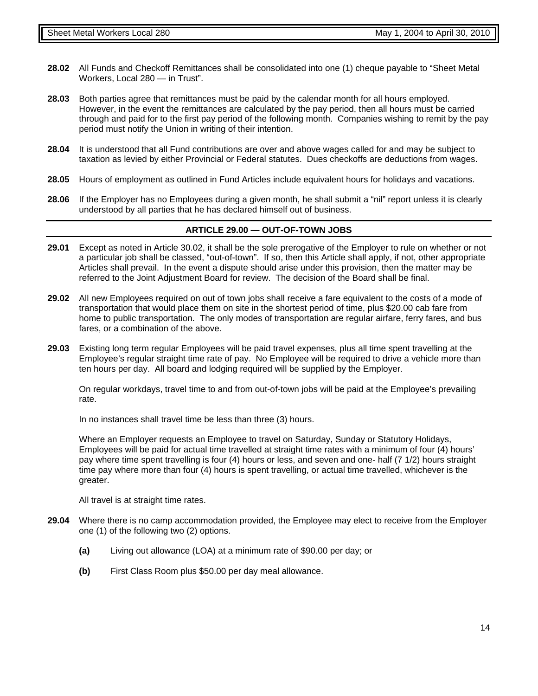- **28.02** All Funds and Checkoff Remittances shall be consolidated into one (1) cheque payable to "Sheet Metal Workers, Local 280 — in Trust".
- **28.03** Both parties agree that remittances must be paid by the calendar month for all hours employed. However, in the event the remittances are calculated by the pay period, then all hours must be carried through and paid for to the first pay period of the following month. Companies wishing to remit by the pay period must notify the Union in writing of their intention.
- **28.04** It is understood that all Fund contributions are over and above wages called for and may be subject to taxation as levied by either Provincial or Federal statutes. Dues checkoffs are deductions from wages.
- **28.05** Hours of employment as outlined in Fund Articles include equivalent hours for holidays and vacations.
- **28.06** If the Employer has no Employees during a given month, he shall submit a "nil" report unless it is clearly understood by all parties that he has declared himself out of business.

#### **ARTICLE 29.00 — OUT-OF-TOWN JOBS**

- **29.01** Except as noted in Article 30.02, it shall be the sole prerogative of the Employer to rule on whether or not a particular job shall be classed, "out-of-town". If so, then this Article shall apply, if not, other appropriate Articles shall prevail. In the event a dispute should arise under this provision, then the matter may be referred to the Joint Adjustment Board for review. The decision of the Board shall be final.
- **29.02** All new Employees required on out of town jobs shall receive a fare equivalent to the costs of a mode of transportation that would place them on site in the shortest period of time, plus \$20.00 cab fare from home to public transportation. The only modes of transportation are regular airfare, ferry fares, and bus fares, or a combination of the above.
- **29.03** Existing long term regular Employees will be paid travel expenses, plus all time spent travelling at the Employee's regular straight time rate of pay. No Employee will be required to drive a vehicle more than ten hours per day. All board and lodging required will be supplied by the Employer.

On regular workdays, travel time to and from out-of-town jobs will be paid at the Employee's prevailing rate.

In no instances shall travel time be less than three (3) hours.

Where an Employer requests an Employee to travel on Saturday, Sunday or Statutory Holidays, Employees will be paid for actual time travelled at straight time rates with a minimum of four (4) hours' pay where time spent travelling is four (4) hours or less, and seven and one- half (7 1/2) hours straight time pay where more than four (4) hours is spent travelling, or actual time travelled, whichever is the greater.

All travel is at straight time rates.

- **29.04** Where there is no camp accommodation provided, the Employee may elect to receive from the Employer one (1) of the following two (2) options.
	- **(a)** Living out allowance (LOA) at a minimum rate of \$90.00 per day; or
	- **(b)** First Class Room plus \$50.00 per day meal allowance.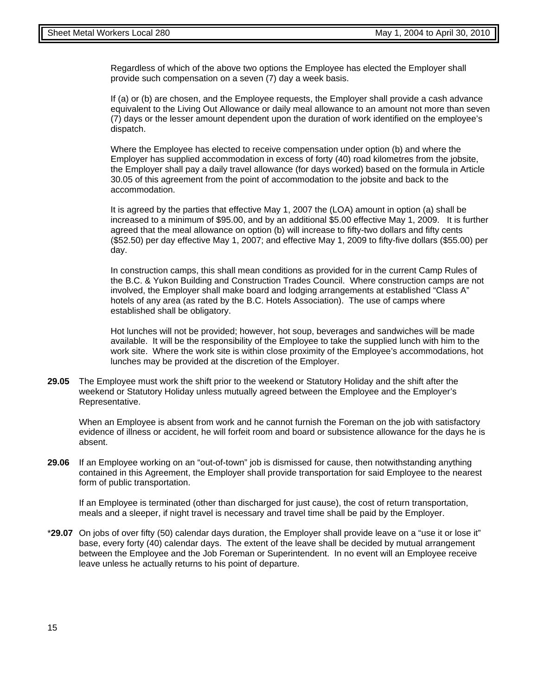Regardless of which of the above two options the Employee has elected the Employer shall provide such compensation on a seven (7) day a week basis.

If (a) or (b) are chosen, and the Employee requests, the Employer shall provide a cash advance equivalent to the Living Out Allowance or daily meal allowance to an amount not more than seven (7) days or the lesser amount dependent upon the duration of work identified on the employee's dispatch.

Where the Employee has elected to receive compensation under option (b) and where the Employer has supplied accommodation in excess of forty (40) road kilometres from the jobsite, the Employer shall pay a daily travel allowance (for days worked) based on the formula in Article 30.05 of this agreement from the point of accommodation to the jobsite and back to the accommodation.

It is agreed by the parties that effective May 1, 2007 the (LOA) amount in option (a) shall be increased to a minimum of \$95.00, and by an additional \$5.00 effective May 1, 2009. It is further agreed that the meal allowance on option (b) will increase to fifty-two dollars and fifty cents (\$52.50) per day effective May 1, 2007; and effective May 1, 2009 to fifty-five dollars (\$55.00) per day.

In construction camps, this shall mean conditions as provided for in the current Camp Rules of the B.C. & Yukon Building and Construction Trades Council. Where construction camps are not involved, the Employer shall make board and lodging arrangements at established "Class A" hotels of any area (as rated by the B.C. Hotels Association). The use of camps where established shall be obligatory.

Hot lunches will not be provided; however, hot soup, beverages and sandwiches will be made available. It will be the responsibility of the Employee to take the supplied lunch with him to the work site. Where the work site is within close proximity of the Employee's accommodations, hot lunches may be provided at the discretion of the Employer.

**29.05** The Employee must work the shift prior to the weekend or Statutory Holiday and the shift after the weekend or Statutory Holiday unless mutually agreed between the Employee and the Employer's Representative.

When an Employee is absent from work and he cannot furnish the Foreman on the job with satisfactory evidence of illness or accident, he will forfeit room and board or subsistence allowance for the days he is absent.

**29.06** If an Employee working on an "out-of-town" job is dismissed for cause, then notwithstanding anything contained in this Agreement, the Employer shall provide transportation for said Employee to the nearest form of public transportation.

If an Employee is terminated (other than discharged for just cause), the cost of return transportation, meals and a sleeper, if night travel is necessary and travel time shall be paid by the Employer.

\***29.07** On jobs of over fifty (50) calendar days duration, the Employer shall provide leave on a "use it or lose it" base, every forty (40) calendar days. The extent of the leave shall be decided by mutual arrangement between the Employee and the Job Foreman or Superintendent. In no event will an Employee receive leave unless he actually returns to his point of departure.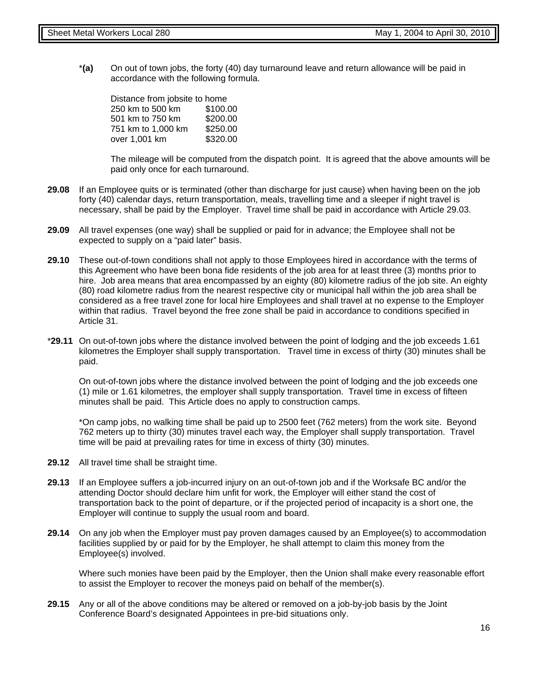\***(a)** On out of town jobs, the forty (40) day turnaround leave and return allowance will be paid in accordance with the following formula.

| Distance from jobsite to home |          |  |  |  |  |
|-------------------------------|----------|--|--|--|--|
| 250 km to 500 km              | \$100.00 |  |  |  |  |
| 501 km to 750 km              | \$200.00 |  |  |  |  |
| 751 km to 1,000 km            | \$250.00 |  |  |  |  |
| over 1,001 km                 | \$320.00 |  |  |  |  |

The mileage will be computed from the dispatch point. It is agreed that the above amounts will be paid only once for each turnaround.

- **29.08** If an Employee quits or is terminated (other than discharge for just cause) when having been on the job forty (40) calendar days, return transportation, meals, travelling time and a sleeper if night travel is necessary, shall be paid by the Employer. Travel time shall be paid in accordance with Article 29.03.
- **29.09** All travel expenses (one way) shall be supplied or paid for in advance; the Employee shall not be expected to supply on a "paid later" basis.
- **29.10** These out-of-town conditions shall not apply to those Employees hired in accordance with the terms of this Agreement who have been bona fide residents of the job area for at least three (3) months prior to hire. Job area means that area encompassed by an eighty (80) kilometre radius of the job site. An eighty (80) road kilometre radius from the nearest respective city or municipal hall within the job area shall be considered as a free travel zone for local hire Employees and shall travel at no expense to the Employer within that radius. Travel beyond the free zone shall be paid in accordance to conditions specified in Article 31.
- \***29.11** On out-of-town jobs where the distance involved between the point of lodging and the job exceeds 1.61 kilometres the Employer shall supply transportation. Travel time in excess of thirty (30) minutes shall be paid.

On out-of-town jobs where the distance involved between the point of lodging and the job exceeds one (1) mile or 1.61 kilometres, the employer shall supply transportation. Travel time in excess of fifteen minutes shall be paid. This Article does no apply to construction camps.

\*On camp jobs, no walking time shall be paid up to 2500 feet (762 meters) from the work site. Beyond 762 meters up to thirty (30) minutes travel each way, the Employer shall supply transportation. Travel time will be paid at prevailing rates for time in excess of thirty (30) minutes.

- **29.12** All travel time shall be straight time.
- **29.13** If an Employee suffers a job-incurred injury on an out-of-town job and if the Worksafe BC and/or the attending Doctor should declare him unfit for work, the Employer will either stand the cost of transportation back to the point of departure, or if the projected period of incapacity is a short one, the Employer will continue to supply the usual room and board.
- **29.14** On any job when the Employer must pay proven damages caused by an Employee(s) to accommodation facilities supplied by or paid for by the Employer, he shall attempt to claim this money from the Employee(s) involved.

Where such monies have been paid by the Employer, then the Union shall make every reasonable effort to assist the Employer to recover the moneys paid on behalf of the member(s).

**29.15** Any or all of the above conditions may be altered or removed on a job-by-job basis by the Joint Conference Board's designated Appointees in pre-bid situations only.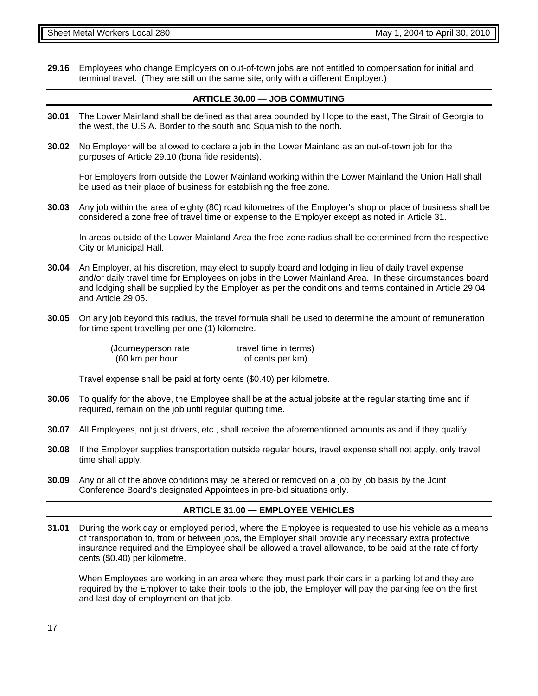**29.16** Employees who change Employers on out-of-town jobs are not entitled to compensation for initial and terminal travel. (They are still on the same site, only with a different Employer.)

#### **ARTICLE 30.00 — JOB COMMUTING**

- **30.01** The Lower Mainland shall be defined as that area bounded by Hope to the east, The Strait of Georgia to the west, the U.S.A. Border to the south and Squamish to the north.
- **30.02** No Employer will be allowed to declare a job in the Lower Mainland as an out-of-town job for the purposes of Article 29.10 (bona fide residents).

For Employers from outside the Lower Mainland working within the Lower Mainland the Union Hall shall be used as their place of business for establishing the free zone.

**30.03** Any job within the area of eighty (80) road kilometres of the Employer's shop or place of business shall be considered a zone free of travel time or expense to the Employer except as noted in Article 31.

In areas outside of the Lower Mainland Area the free zone radius shall be determined from the respective City or Municipal Hall.

- **30.04** An Employer, at his discretion, may elect to supply board and lodging in lieu of daily travel expense and/or daily travel time for Employees on jobs in the Lower Mainland Area. In these circumstances board and lodging shall be supplied by the Employer as per the conditions and terms contained in Article 29.04 and Article 29.05.
- **30.05** On any job beyond this radius, the travel formula shall be used to determine the amount of remuneration for time spent travelling per one (1) kilometre.

| (Journeyperson rate | travel time in terms) |
|---------------------|-----------------------|
| (60 km per hour     | of cents per km).     |

Travel expense shall be paid at forty cents (\$0.40) per kilometre.

- **30.06** To qualify for the above, the Employee shall be at the actual jobsite at the regular starting time and if required, remain on the job until regular quitting time.
- **30.07** All Employees, not just drivers, etc., shall receive the aforementioned amounts as and if they qualify.
- **30.08** If the Employer supplies transportation outside regular hours, travel expense shall not apply, only travel time shall apply.
- **30.09** Any or all of the above conditions may be altered or removed on a job by job basis by the Joint Conference Board's designated Appointees in pre-bid situations only.

#### **ARTICLE 31.00 — EMPLOYEE VEHICLES**

**31.01** During the work day or employed period, where the Employee is requested to use his vehicle as a means of transportation to, from or between jobs, the Employer shall provide any necessary extra protective insurance required and the Employee shall be allowed a travel allowance, to be paid at the rate of forty cents (\$0.40) per kilometre.

When Employees are working in an area where they must park their cars in a parking lot and they are required by the Employer to take their tools to the job, the Employer will pay the parking fee on the first and last day of employment on that job.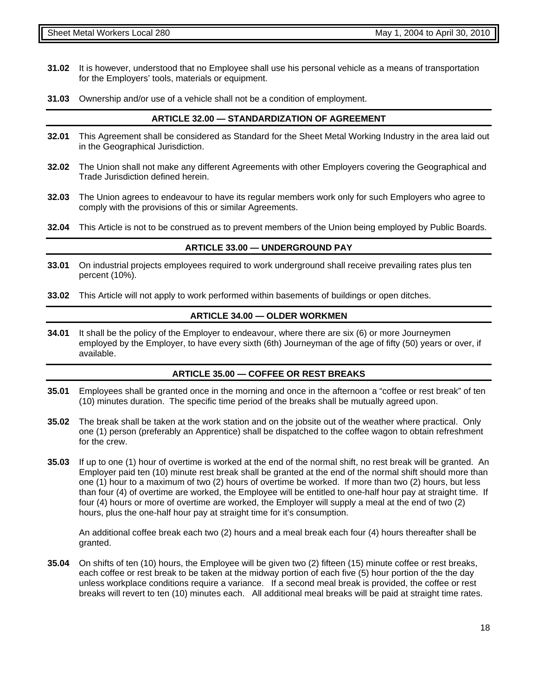- **31.02** It is however, understood that no Employee shall use his personal vehicle as a means of transportation for the Employers' tools, materials or equipment.
- **31.03** Ownership and/or use of a vehicle shall not be a condition of employment.

#### **ARTICLE 32.00 — STANDARDIZATION OF AGREEMENT**

- **32.01** This Agreement shall be considered as Standard for the Sheet Metal Working Industry in the area laid out in the Geographical Jurisdiction.
- **32.02** The Union shall not make any different Agreements with other Employers covering the Geographical and Trade Jurisdiction defined herein.
- **32.03** The Union agrees to endeavour to have its regular members work only for such Employers who agree to comply with the provisions of this or similar Agreements.
- **32.04** This Article is not to be construed as to prevent members of the Union being employed by Public Boards.

#### **ARTICLE 33.00 — UNDERGROUND PAY**

- **33.01** On industrial projects employees required to work underground shall receive prevailing rates plus ten percent (10%).
- **33.02** This Article will not apply to work performed within basements of buildings or open ditches.

#### **ARTICLE 34.00 — OLDER WORKMEN**

**34.01** It shall be the policy of the Employer to endeavour, where there are six (6) or more Journeymen employed by the Employer, to have every sixth (6th) Journeyman of the age of fifty (50) years or over, if available.

#### **ARTICLE 35.00 — COFFEE OR REST BREAKS**

- **35.01** Employees shall be granted once in the morning and once in the afternoon a "coffee or rest break" of ten (10) minutes duration. The specific time period of the breaks shall be mutually agreed upon.
- **35.02** The break shall be taken at the work station and on the jobsite out of the weather where practical. Only one (1) person (preferably an Apprentice) shall be dispatched to the coffee wagon to obtain refreshment for the crew.
- **35.03** If up to one (1) hour of overtime is worked at the end of the normal shift, no rest break will be granted. An Employer paid ten (10) minute rest break shall be granted at the end of the normal shift should more than one (1) hour to a maximum of two (2) hours of overtime be worked. If more than two (2) hours, but less than four (4) of overtime are worked, the Employee will be entitled to one-half hour pay at straight time. If four (4) hours or more of overtime are worked, the Employer will supply a meal at the end of two (2) hours, plus the one-half hour pay at straight time for it's consumption.

An additional coffee break each two (2) hours and a meal break each four (4) hours thereafter shall be granted.

**35.04** On shifts of ten (10) hours, the Employee will be given two (2) fifteen (15) minute coffee or rest breaks, each coffee or rest break to be taken at the midway portion of each five (5) hour portion of the the day unless workplace conditions require a variance. If a second meal break is provided, the coffee or rest breaks will revert to ten (10) minutes each. All additional meal breaks will be paid at straight time rates.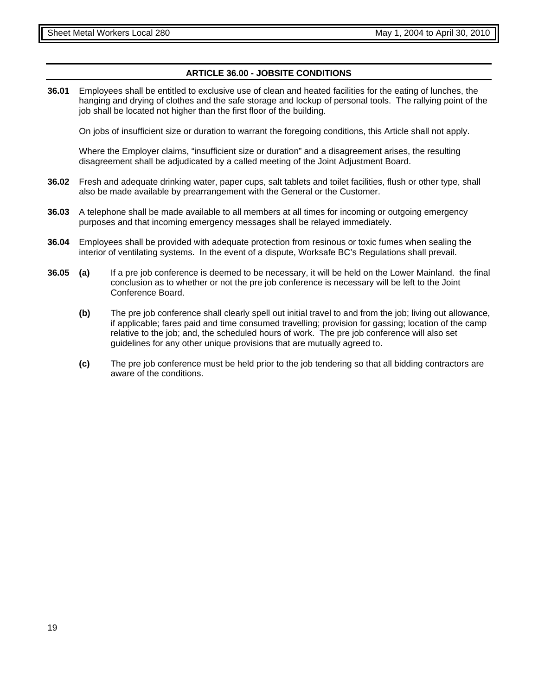#### **ARTICLE 36.00 - JOBSITE CONDITIONS**

**36.01** Employees shall be entitled to exclusive use of clean and heated facilities for the eating of lunches, the hanging and drying of clothes and the safe storage and lockup of personal tools. The rallying point of the job shall be located not higher than the first floor of the building.

On jobs of insufficient size or duration to warrant the foregoing conditions, this Article shall not apply.

Where the Employer claims, "insufficient size or duration" and a disagreement arises, the resulting disagreement shall be adjudicated by a called meeting of the Joint Adjustment Board.

- **36.02** Fresh and adequate drinking water, paper cups, salt tablets and toilet facilities, flush or other type, shall also be made available by prearrangement with the General or the Customer.
- **36.03** A telephone shall be made available to all members at all times for incoming or outgoing emergency purposes and that incoming emergency messages shall be relayed immediately.
- **36.04** Employees shall be provided with adequate protection from resinous or toxic fumes when sealing the interior of ventilating systems. In the event of a dispute, Worksafe BC's Regulations shall prevail.
- **36.05 (a)** If a pre job conference is deemed to be necessary, it will be held on the Lower Mainland. the final conclusion as to whether or not the pre job conference is necessary will be left to the Joint Conference Board.
	- **(b)** The pre job conference shall clearly spell out initial travel to and from the job; living out allowance, if applicable; fares paid and time consumed travelling; provision for gassing; location of the camp relative to the job; and, the scheduled hours of work. The pre job conference will also set guidelines for any other unique provisions that are mutually agreed to.
	- **(c)** The pre job conference must be held prior to the job tendering so that all bidding contractors are aware of the conditions.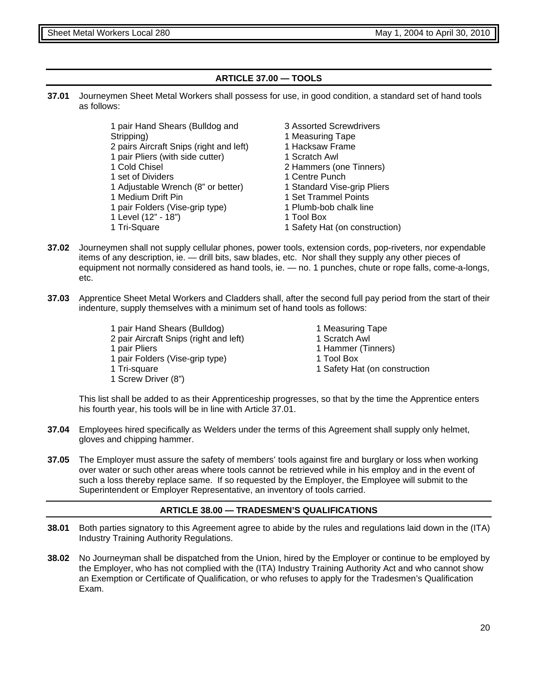#### **ARTICLE 37.00 — TOOLS**

**37.01** Journeymen Sheet Metal Workers shall possess for use, in good condition, a standard set of hand tools as follows:

> 1 pair Hand Shears (Bulldog and Stripping) 2 pairs Aircraft Snips (right and left) 1 pair Pliers (with side cutter) 1 Cold Chisel 1 set of Dividers 1 Adjustable Wrench (8" or better) 1 Medium Drift Pin 1 pair Folders (Vise-grip type) 1 Level (12" - 18") 1 Tri-Square

- 3 Assorted Screwdrivers
- 1 Measuring Tape
- 1 Hacksaw Frame
- 1 Scratch Awl
- 2 Hammers (one Tinners)
- 1 Centre Punch
- 1 Standard Vise-grip Pliers
- 1 Set Trammel Points
- 1 Plumb-bob chalk line
- 1 Tool Box
- 1 Safety Hat (on construction)
- **37.02** Journeymen shall not supply cellular phones, power tools, extension cords, pop-riveters, nor expendable items of any description, ie. — drill bits, saw blades, etc. Nor shall they supply any other pieces of equipment not normally considered as hand tools, ie. — no. 1 punches, chute or rope falls, come-a-longs, etc.
- **37.03** Apprentice Sheet Metal Workers and Cladders shall, after the second full pay period from the start of their indenture, supply themselves with a minimum set of hand tools as follows:
	- 1 pair Hand Shears (Bulldog) 2 pair Aircraft Snips (right and left) 1 pair Pliers 1 pair Folders (Vise-grip type) 1 Tri-square 1 Screw Driver (8")
- 1 Measuring Tape
- 1 Scratch Awl
- 1 Hammer (Tinners)
- 1 Tool Box
- 1 Safety Hat (on construction

This list shall be added to as their Apprenticeship progresses, so that by the time the Apprentice enters his fourth year, his tools will be in line with Article 37.01.

- **37.04** Employees hired specifically as Welders under the terms of this Agreement shall supply only helmet, gloves and chipping hammer.
- **37.05** The Employer must assure the safety of members' tools against fire and burglary or loss when working over water or such other areas where tools cannot be retrieved while in his employ and in the event of such a loss thereby replace same. If so requested by the Employer, the Employee will submit to the Superintendent or Employer Representative, an inventory of tools carried.

#### **ARTICLE 38.00 — TRADESMEN'S QUALIFICATIONS**

- **38.01** Both parties signatory to this Agreement agree to abide by the rules and regulations laid down in the (ITA) Industry Training Authority Regulations.
- **38.02** No Journeyman shall be dispatched from the Union, hired by the Employer or continue to be employed by the Employer, who has not complied with the (ITA) Industry Training Authority Act and who cannot show an Exemption or Certificate of Qualification, or who refuses to apply for the Tradesmen's Qualification Exam.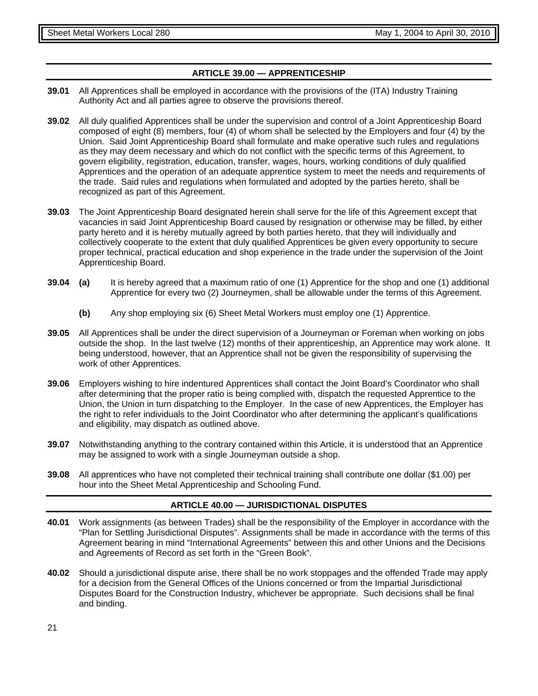#### **ARTICLE 39.00 — APPRENTICESHIP**

- **39.01** All Apprentices shall be employed in accordance with the provisions of the (ITA) Industry Training Authority Act and all parties agree to observe the provisions thereof.
- **39.02** All duly qualified Apprentices shall be under the supervision and control of a Joint Apprenticeship Board composed of eight (8) members, four (4) of whom shall be selected by the Employers and four (4) by the Union. Said Joint Apprenticeship Board shall formulate and make operative such rules and regulations as they may deem necessary and which do not conflict with the specific terms of this Agreement, to govern eligibility, registration, education, transfer, wages, hours, working conditions of duly qualified Apprentices and the operation of an adequate apprentice system to meet the needs and requirements of the trade. Said rules and regulations when formulated and adopted by the parties hereto, shall be recognized as part of this Agreement.
- **39.03** The Joint Apprenticeship Board designated herein shall serve for the life of this Agreement except that vacancies in said Joint Apprenticeship Board caused by resignation or otherwise may be filled, by either party hereto and it is hereby mutually agreed by both parties hereto, that they will individually and collectively cooperate to the extent that duly qualified Apprentices be given every opportunity to secure proper technical, practical education and shop experience in the trade under the supervision of the Joint Apprenticeship Board.
- **39.04 (a)** It is hereby agreed that a maximum ratio of one (1) Apprentice for the shop and one (1) additional Apprentice for every two (2) Journeymen, shall be allowable under the terms of this Agreement.
	- **(b)** Any shop employing six (6) Sheet Metal Workers must employ one (1) Apprentice.
- **39.05** All Apprentices shall be under the direct supervision of a Journeyman or Foreman when working on jobs outside the shop. In the last twelve (12) months of their apprenticeship, an Apprentice may work alone. It being understood, however, that an Apprentice shall not be given the responsibility of supervising the work of other Apprentices.
- **39.06** Employers wishing to hire indentured Apprentices shall contact the Joint Board's Coordinator who shall after determining that the proper ratio is being complied with, dispatch the requested Apprentice to the Union, the Union in turn dispatching to the Employer. In the case of new Apprentices, the Employer has the right to refer individuals to the Joint Coordinator who after determining the applicant's qualifications and eligibility, may dispatch as outlined above.
- **39.07** Notwithstanding anything to the contrary contained within this Article, it is understood that an Apprentice may be assigned to work with a single Journeyman outside a shop.
- **39.08** All apprentices who have not completed their technical training shall contribute one dollar (\$1.00) per hour into the Sheet Metal Apprenticeship and Schooling Fund.

#### **ARTICLE 40.00 — JURISDICTIONAL DISPUTES**

- **40.01** Work assignments (as between Trades) shall be the responsibility of the Employer in accordance with the "Plan for Settling Jurisdictional Disputes". Assignments shall be made in accordance with the terms of this Agreement bearing in mind "International Agreements" between this and other Unions and the Decisions and Agreements of Record as set forth in the "Green Book".
- **40.02** Should a jurisdictional dispute arise, there shall be no work stoppages and the offended Trade may apply for a decision from the General Offices of the Unions concerned or from the Impartial Jurisdictional Disputes Board for the Construction Industry, whichever be appropriate. Such decisions shall be final and binding.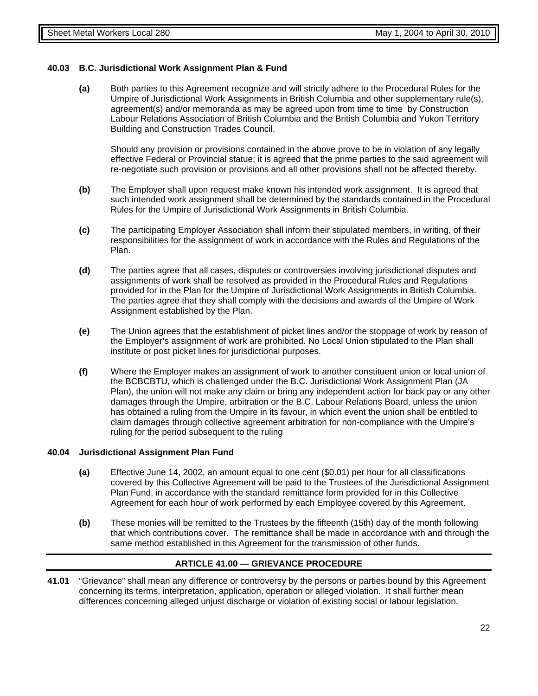#### **40.03 B.C. Jurisdictional Work Assignment Plan & Fund**

**(a)** Both parties to this Agreement recognize and will strictly adhere to the Procedural Rules for the Umpire of Jurisdictional Work Assignments in British Columbia and other supplementary rule(s), agreement(s) and/or memoranda as may be agreed upon from time to time by Construction Labour Relations Association of British Columbia and the British Columbia and Yukon Territory Building and Construction Trades Council.

Should any provision or provisions contained in the above prove to be in violation of any legally effective Federal or Provincial statue; it is agreed that the prime parties to the said agreement will re-negotiate such provision or provisions and all other provisions shall not be affected thereby.

- **(b)** The Employer shall upon request make known his intended work assignment. It is agreed that such intended work assignment shall be determined by the standards contained in the Procedural Rules for the Umpire of Jurisdictional Work Assignments in British Columbia.
- **(c)** The participating Employer Association shall inform their stipulated members, in writing, of their responsibilities for the assignment of work in accordance with the Rules and Regulations of the Plan.
- **(d)** The parties agree that all cases, disputes or controversies involving jurisdictional disputes and assignments of work shall be resolved as provided in the Procedural Rules and Regulations provided for in the Plan for the Umpire of Jurisdictional Work Assignments in British Columbia. The parties agree that they shall comply with the decisions and awards of the Umpire of Work Assignment established by the Plan.
- **(e)** The Union agrees that the establishment of picket lines and/or the stoppage of work by reason of the Employer's assignment of work are prohibited. No Local Union stipulated to the Plan shall institute or post picket lines for jurisdictional purposes.
- **(f)** Where the Employer makes an assignment of work to another constituent union or local union of the BCBCBTU, which is challenged under the B.C. Jurisdictional Work Assignment Plan (JA Plan), the union will not make any claim or bring any independent action for back pay or any other damages through the Umpire, arbitration or the B.C. Labour Relations Board, unless the union has obtained a ruling from the Umpire in its favour, in which event the union shall be entitled to claim damages through collective agreement arbitration for non-compliance with the Umpire's ruling for the period subsequent to the ruling

#### **40.04 Jurisdictional Assignment Plan Fund**

- **(a)** Effective June 14, 2002, an amount equal to one cent (\$0.01) per hour for all classifications covered by this Collective Agreement will be paid to the Trustees of the Jurisdictional Assignment Plan Fund, in accordance with the standard remittance form provided for in this Collective Agreement for each hour of work performed by each Employee covered by this Agreement.
- **(b)** These monies will be remitted to the Trustees by the fifteenth (15th) day of the month following that which contributions cover. The remittance shall be made in accordance with and through the same method established in this Agreement for the transmission of other funds.

#### **ARTICLE 41.00 — GRIEVANCE PROCEDURE**

**41.01** "Grievance" shall mean any difference or controversy by the persons or parties bound by this Agreement concerning its terms, interpretation, application, operation or alleged violation. It shall further mean differences concerning alleged unjust discharge or violation of existing social or labour legislation.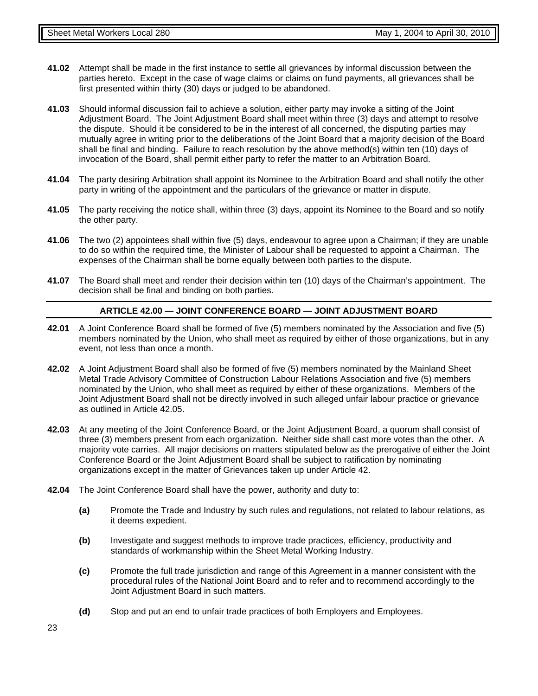- **41.02** Attempt shall be made in the first instance to settle all grievances by informal discussion between the parties hereto. Except in the case of wage claims or claims on fund payments, all grievances shall be first presented within thirty (30) days or judged to be abandoned.
- **41.03** Should informal discussion fail to achieve a solution, either party may invoke a sitting of the Joint Adjustment Board. The Joint Adjustment Board shall meet within three (3) days and attempt to resolve the dispute. Should it be considered to be in the interest of all concerned, the disputing parties may mutually agree in writing prior to the deliberations of the Joint Board that a majority decision of the Board shall be final and binding. Failure to reach resolution by the above method(s) within ten (10) days of invocation of the Board, shall permit either party to refer the matter to an Arbitration Board.
- **41.04** The party desiring Arbitration shall appoint its Nominee to the Arbitration Board and shall notify the other party in writing of the appointment and the particulars of the grievance or matter in dispute.
- **41.05** The party receiving the notice shall, within three (3) days, appoint its Nominee to the Board and so notify the other party.
- **41.06** The two (2) appointees shall within five (5) days, endeavour to agree upon a Chairman; if they are unable to do so within the required time, the Minister of Labour shall be requested to appoint a Chairman. The expenses of the Chairman shall be borne equally between both parties to the dispute.
- **41.07** The Board shall meet and render their decision within ten (10) days of the Chairman's appointment. The decision shall be final and binding on both parties.

#### **ARTICLE 42.00 — JOINT CONFERENCE BOARD — JOINT ADJUSTMENT BOARD**

- **42.01** A Joint Conference Board shall be formed of five (5) members nominated by the Association and five (5) members nominated by the Union, who shall meet as required by either of those organizations, but in any event, not less than once a month.
- **42.02** A Joint Adjustment Board shall also be formed of five (5) members nominated by the Mainland Sheet Metal Trade Advisory Committee of Construction Labour Relations Association and five (5) members nominated by the Union, who shall meet as required by either of these organizations. Members of the Joint Adjustment Board shall not be directly involved in such alleged unfair labour practice or grievance as outlined in Article 42.05.
- **42.03** At any meeting of the Joint Conference Board, or the Joint Adjustment Board, a quorum shall consist of three (3) members present from each organization. Neither side shall cast more votes than the other. A majority vote carries. All major decisions on matters stipulated below as the prerogative of either the Joint Conference Board or the Joint Adjustment Board shall be subject to ratification by nominating organizations except in the matter of Grievances taken up under Article 42.
- **42.04** The Joint Conference Board shall have the power, authority and duty to:
	- **(a)** Promote the Trade and Industry by such rules and regulations, not related to labour relations, as it deems expedient.
	- **(b)** Investigate and suggest methods to improve trade practices, efficiency, productivity and standards of workmanship within the Sheet Metal Working Industry.
	- **(c)** Promote the full trade jurisdiction and range of this Agreement in a manner consistent with the procedural rules of the National Joint Board and to refer and to recommend accordingly to the Joint Adjustment Board in such matters.
	- **(d)** Stop and put an end to unfair trade practices of both Employers and Employees.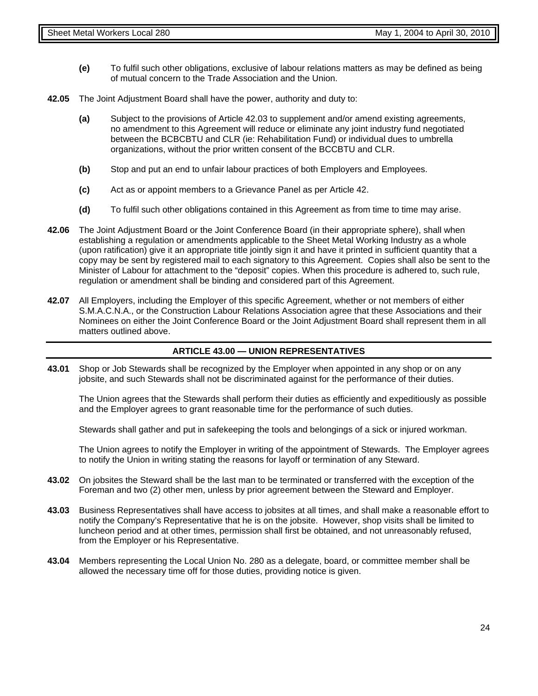- **(e)** To fulfil such other obligations, exclusive of labour relations matters as may be defined as being of mutual concern to the Trade Association and the Union.
- **42.05** The Joint Adjustment Board shall have the power, authority and duty to:
	- **(a)** Subject to the provisions of Article 42.03 to supplement and/or amend existing agreements, no amendment to this Agreement will reduce or eliminate any joint industry fund negotiated between the BCBCBTU and CLR (ie: Rehabilitation Fund) or individual dues to umbrella organizations, without the prior written consent of the BCCBTU and CLR.
	- **(b)** Stop and put an end to unfair labour practices of both Employers and Employees.
	- **(c)** Act as or appoint members to a Grievance Panel as per Article 42.
	- **(d)** To fulfil such other obligations contained in this Agreement as from time to time may arise.
- **42.06** The Joint Adjustment Board or the Joint Conference Board (in their appropriate sphere), shall when establishing a regulation or amendments applicable to the Sheet Metal Working Industry as a whole (upon ratification) give it an appropriate title jointly sign it and have it printed in sufficient quantity that a copy may be sent by registered mail to each signatory to this Agreement. Copies shall also be sent to the Minister of Labour for attachment to the "deposit" copies. When this procedure is adhered to, such rule, regulation or amendment shall be binding and considered part of this Agreement.
- **42.07** All Employers, including the Employer of this specific Agreement, whether or not members of either S.M.A.C.N.A., or the Construction Labour Relations Association agree that these Associations and their Nominees on either the Joint Conference Board or the Joint Adjustment Board shall represent them in all matters outlined above.

#### **ARTICLE 43.00 — UNION REPRESENTATIVES**

**43.01** Shop or Job Stewards shall be recognized by the Employer when appointed in any shop or on any jobsite, and such Stewards shall not be discriminated against for the performance of their duties.

The Union agrees that the Stewards shall perform their duties as efficiently and expeditiously as possible and the Employer agrees to grant reasonable time for the performance of such duties.

Stewards shall gather and put in safekeeping the tools and belongings of a sick or injured workman.

The Union agrees to notify the Employer in writing of the appointment of Stewards. The Employer agrees to notify the Union in writing stating the reasons for layoff or termination of any Steward.

- **43.02** On jobsites the Steward shall be the last man to be terminated or transferred with the exception of the Foreman and two (2) other men, unless by prior agreement between the Steward and Employer.
- **43.03** Business Representatives shall have access to jobsites at all times, and shall make a reasonable effort to notify the Company's Representative that he is on the jobsite. However, shop visits shall be limited to luncheon period and at other times, permission shall first be obtained, and not unreasonably refused, from the Employer or his Representative.
- **43.04** Members representing the Local Union No. 280 as a delegate, board, or committee member shall be allowed the necessary time off for those duties, providing notice is given.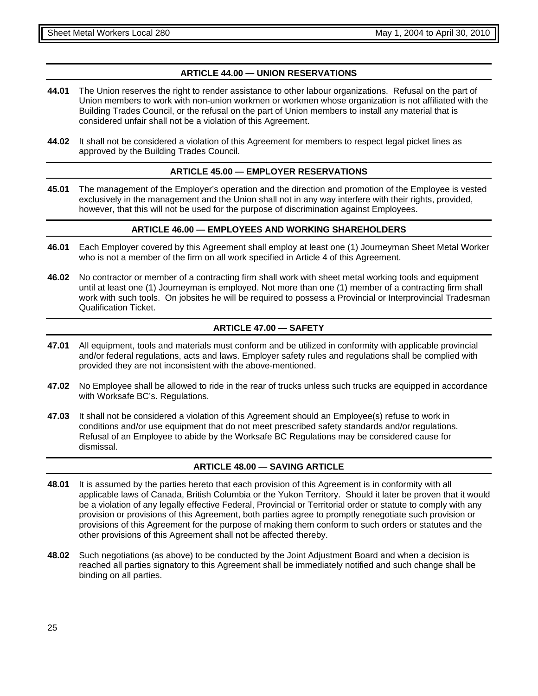#### **ARTICLE 44.00 — UNION RESERVATIONS**

- **44.01** The Union reserves the right to render assistance to other labour organizations. Refusal on the part of Union members to work with non-union workmen or workmen whose organization is not affiliated with the Building Trades Council, or the refusal on the part of Union members to install any material that is considered unfair shall not be a violation of this Agreement.
- **44.02** It shall not be considered a violation of this Agreement for members to respect legal picket lines as approved by the Building Trades Council.

#### **ARTICLE 45.00 — EMPLOYER RESERVATIONS**

**45.01** The management of the Employer's operation and the direction and promotion of the Employee is vested exclusively in the management and the Union shall not in any way interfere with their rights, provided, however, that this will not be used for the purpose of discrimination against Employees.

#### **ARTICLE 46.00 — EMPLOYEES AND WORKING SHAREHOLDERS**

- **46.01** Each Employer covered by this Agreement shall employ at least one (1) Journeyman Sheet Metal Worker who is not a member of the firm on all work specified in Article 4 of this Agreement.
- **46.02** No contractor or member of a contracting firm shall work with sheet metal working tools and equipment until at least one (1) Journeyman is employed. Not more than one (1) member of a contracting firm shall work with such tools. On jobsites he will be required to possess a Provincial or Interprovincial Tradesman Qualification Ticket.

#### **ARTICLE 47.00 — SAFETY**

- **47.01** All equipment, tools and materials must conform and be utilized in conformity with applicable provincial and/or federal regulations, acts and laws. Employer safety rules and regulations shall be complied with provided they are not inconsistent with the above-mentioned.
- **47.02** No Employee shall be allowed to ride in the rear of trucks unless such trucks are equipped in accordance with Worksafe BC's. Regulations.
- **47.03** It shall not be considered a violation of this Agreement should an Employee(s) refuse to work in conditions and/or use equipment that do not meet prescribed safety standards and/or regulations. Refusal of an Employee to abide by the Worksafe BC Regulations may be considered cause for dismissal.

#### **ARTICLE 48.00 — SAVING ARTICLE**

- **48.01** It is assumed by the parties hereto that each provision of this Agreement is in conformity with all applicable laws of Canada, British Columbia or the Yukon Territory. Should it later be proven that it would be a violation of any legally effective Federal, Provincial or Territorial order or statute to comply with any provision or provisions of this Agreement, both parties agree to promptly renegotiate such provision or provisions of this Agreement for the purpose of making them conform to such orders or statutes and the other provisions of this Agreement shall not be affected thereby.
- **48.02** Such negotiations (as above) to be conducted by the Joint Adjustment Board and when a decision is reached all parties signatory to this Agreement shall be immediately notified and such change shall be binding on all parties.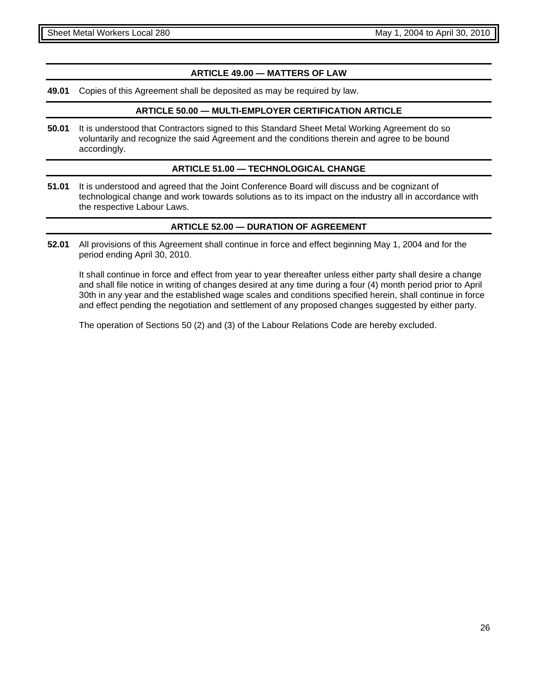#### **ARTICLE 49.00 — MATTERS OF LAW**

**49.01** Copies of this Agreement shall be deposited as may be required by law.

#### **ARTICLE 50.00 — MULTI-EMPLOYER CERTIFICATION ARTICLE**

**50.01** It is understood that Contractors signed to this Standard Sheet Metal Working Agreement do so voluntarily and recognize the said Agreement and the conditions therein and agree to be bound accordingly.

#### **ARTICLE 51.00 — TECHNOLOGICAL CHANGE**

**51.01** It is understood and agreed that the Joint Conference Board will discuss and be cognizant of technological change and work towards solutions as to its impact on the industry all in accordance with the respective Labour Laws.

#### **ARTICLE 52.00 — DURATION OF AGREEMENT**

**52.01** All provisions of this Agreement shall continue in force and effect beginning May 1, 2004 and for the period ending April 30, 2010.

It shall continue in force and effect from year to year thereafter unless either party shall desire a change and shall file notice in writing of changes desired at any time during a four (4) month period prior to April 30th in any year and the established wage scales and conditions specified herein, shall continue in force and effect pending the negotiation and settlement of any proposed changes suggested by either party.

The operation of Sections 50 (2) and (3) of the Labour Relations Code are hereby excluded.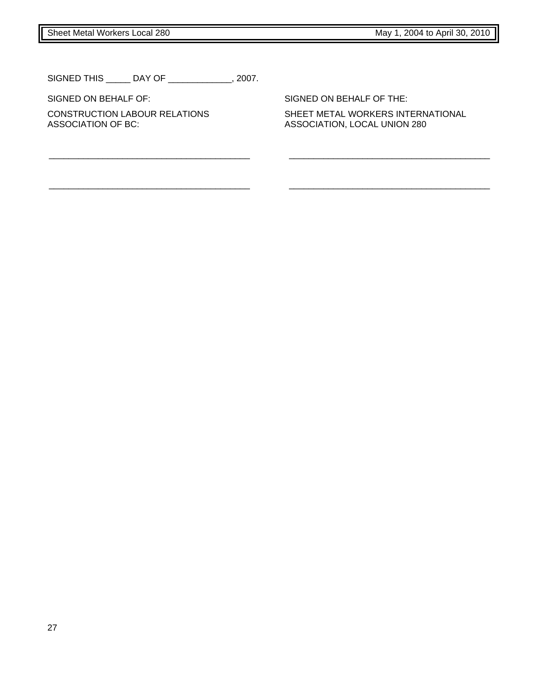Sheet Metal Workers Local 280 May 1, 2004 to April 30, 2010

SIGNED THIS \_\_\_\_\_ DAY OF \_\_\_\_\_\_\_\_\_\_\_\_\_, 2007.

SIGNED ON BEHALF OF: SIGNED ON BEHALF OF THE:

\_\_\_\_\_\_\_\_\_\_\_\_\_\_\_\_\_\_\_\_\_\_\_\_\_\_\_\_\_\_\_\_\_\_\_\_\_\_\_\_\_ \_\_\_\_\_\_\_\_\_\_\_\_\_\_\_\_\_\_\_\_\_\_\_\_\_\_\_\_\_\_\_\_\_\_\_\_\_\_\_\_\_

\_\_\_\_\_\_\_\_\_\_\_\_\_\_\_\_\_\_\_\_\_\_\_\_\_\_\_\_\_\_\_\_\_\_\_\_\_\_\_\_\_ \_\_\_\_\_\_\_\_\_\_\_\_\_\_\_\_\_\_\_\_\_\_\_\_\_\_\_\_\_\_\_\_\_\_\_\_\_\_\_\_\_

CONSTRUCTION LABOUR RELATIONS SHEET METAL WORKERS INTERNATIONAL<br>ASSOCIATION OF BC: ASSOCIATION, LOCAL UNION 280 ASSOCIATION, LOCAL UNION 280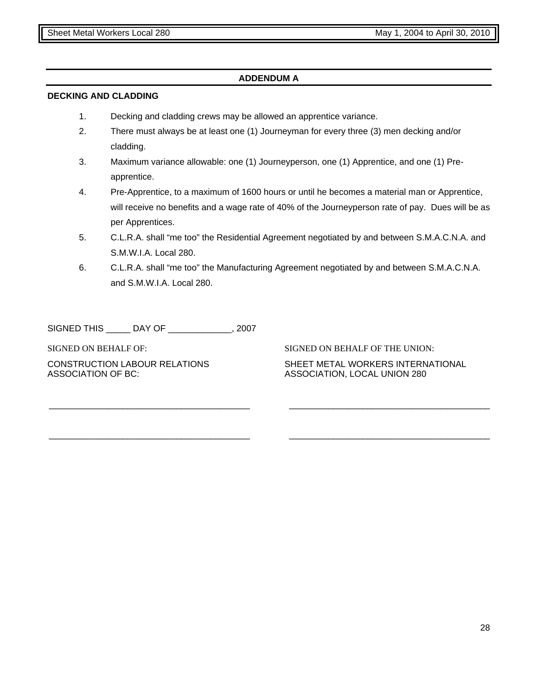#### **ADDENDUM A**

#### **DECKING AND CLADDING**

- 1. Decking and cladding crews may be allowed an apprentice variance.
- 2. There must always be at least one (1) Journeyman for every three (3) men decking and/or cladding.
- 3. Maximum variance allowable: one (1) Journeyperson, one (1) Apprentice, and one (1) Preapprentice.
- 4. Pre-Apprentice, to a maximum of 1600 hours or until he becomes a material man or Apprentice, will receive no benefits and a wage rate of 40% of the Journeyperson rate of pay. Dues will be as per Apprentices.
- 5. C.L.R.A. shall "me too" the Residential Agreement negotiated by and between S.M.A.C.N.A. and S.M.W.I.A. Local 280.
- 6. C.L.R.A. shall "me too" the Manufacturing Agreement negotiated by and between S.M.A.C.N.A. and S.M.W.I.A. Local 280.

\_\_\_\_\_\_\_\_\_\_\_\_\_\_\_\_\_\_\_\_\_\_\_\_\_\_\_\_\_\_\_\_\_\_\_\_\_\_\_\_\_ \_\_\_\_\_\_\_\_\_\_\_\_\_\_\_\_\_\_\_\_\_\_\_\_\_\_\_\_\_\_\_\_\_\_\_\_\_\_\_\_\_

\_\_\_\_\_\_\_\_\_\_\_\_\_\_\_\_\_\_\_\_\_\_\_\_\_\_\_\_\_\_\_\_\_\_\_\_\_\_\_\_\_ \_\_\_\_\_\_\_\_\_\_\_\_\_\_\_\_\_\_\_\_\_\_\_\_\_\_\_\_\_\_\_\_\_\_\_\_\_\_\_\_\_

SIGNED THIS \_\_\_\_\_ DAY OF \_\_\_\_\_\_\_\_\_\_\_\_\_, 2007

ASSOCIATION OF BC: ASSOCIATION, LOCAL UNION 280

SIGNED ON BEHALF OF: SIGNED ON BEHALF OF THE UNION:

CONSTRUCTION LABOUR RELATIONS SHEET METAL WORKERS INTERNATIONAL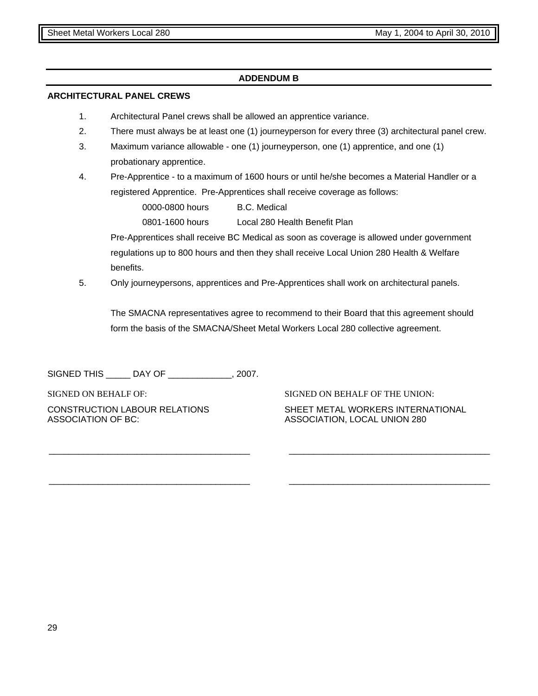#### **ADDENDUM B**

#### **ARCHITECTURAL PANEL CREWS**

- 1. Architectural Panel crews shall be allowed an apprentice variance.
- 2. There must always be at least one (1) journeyperson for every three (3) architectural panel crew.
- 3. Maximum variance allowable one (1) journeyperson, one (1) apprentice, and one (1) probationary apprentice.
- 4. Pre-Apprentice to a maximum of 1600 hours or until he/she becomes a Material Handler or a registered Apprentice. Pre-Apprentices shall receive coverage as follows:

0000-0800 hours B.C. Medical

0801-1600 hours Local 280 Health Benefit Plan

Pre-Apprentices shall receive BC Medical as soon as coverage is allowed under government regulations up to 800 hours and then they shall receive Local Union 280 Health & Welfare benefits.

5. Only journeypersons, apprentices and Pre-Apprentices shall work on architectural panels.

\_\_\_\_\_\_\_\_\_\_\_\_\_\_\_\_\_\_\_\_\_\_\_\_\_\_\_\_\_\_\_\_\_\_\_\_\_\_\_\_\_ \_\_\_\_\_\_\_\_\_\_\_\_\_\_\_\_\_\_\_\_\_\_\_\_\_\_\_\_\_\_\_\_\_\_\_\_\_\_\_\_\_

\_\_\_\_\_\_\_\_\_\_\_\_\_\_\_\_\_\_\_\_\_\_\_\_\_\_\_\_\_\_\_\_\_\_\_\_\_\_\_\_\_ \_\_\_\_\_\_\_\_\_\_\_\_\_\_\_\_\_\_\_\_\_\_\_\_\_\_\_\_\_\_\_\_\_\_\_\_\_\_\_\_\_

The SMACNA representatives agree to recommend to their Board that this agreement should form the basis of the SMACNA/Sheet Metal Workers Local 280 collective agreement.

SIGNED THIS \_\_\_\_\_ DAY OF \_\_\_\_\_\_\_\_\_\_\_\_\_, 2007.

SIGNED ON BEHALF OF: SIGNED ON BEHALF OF THE UNION: ASSOCIATION OF BC: ASSOCIATION, LOCAL UNION 280

CONSTRUCTION LABOUR RELATIONS SHEET METAL WORKERS INTERNATIONAL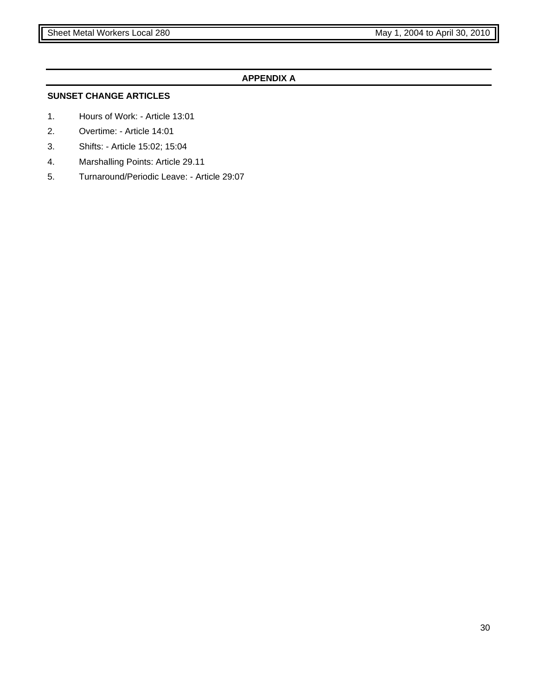#### **APPENDIX A**

#### **SUNSET CHANGE ARTICLES**

- 1. Hours of Work: Article 13:01
- 2. Overtime: Article 14:01
- 3. Shifts: Article 15:02; 15:04
- 4. Marshalling Points: Article 29.11
- 5. Turnaround/Periodic Leave: Article 29:07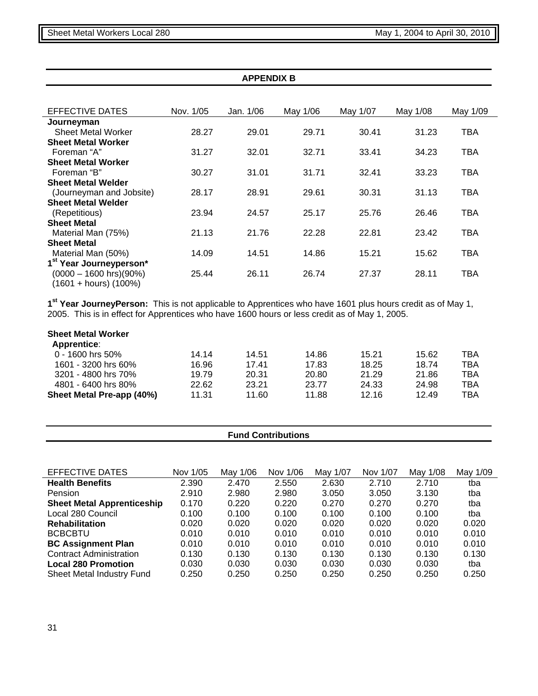| <b>APPENDIX B</b>                                       |           |           |          |          |          |            |  |  |
|---------------------------------------------------------|-----------|-----------|----------|----------|----------|------------|--|--|
|                                                         |           |           |          |          |          |            |  |  |
| EFFECTIVE DATES                                         | Nov. 1/05 | Jan. 1/06 | May 1/06 | May 1/07 | May 1/08 | May 1/09   |  |  |
| Journeyman                                              |           |           |          |          |          |            |  |  |
| <b>Sheet Metal Worker</b>                               | 28.27     | 29.01     | 29.71    | 30.41    | 31.23    | TBA        |  |  |
| <b>Sheet Metal Worker</b>                               |           |           |          |          |          |            |  |  |
| Foreman "A"                                             | 31.27     | 32.01     | 32.71    | 33.41    | 34.23    | TBA        |  |  |
| <b>Sheet Metal Worker</b>                               |           |           |          |          |          |            |  |  |
| Foreman "B"                                             | 30.27     | 31.01     | 31.71    | 32.41    | 33.23    | TBA        |  |  |
| <b>Sheet Metal Welder</b>                               |           |           |          |          |          |            |  |  |
| (Journeyman and Jobsite)                                | 28.17     | 28.91     | 29.61    | 30.31    | 31.13    | TBA        |  |  |
| <b>Sheet Metal Welder</b>                               |           |           |          |          |          |            |  |  |
| (Repetitious)                                           | 23.94     | 24.57     | 25.17    | 25.76    | 26.46    | <b>TBA</b> |  |  |
| <b>Sheet Metal</b>                                      |           |           |          |          |          |            |  |  |
| Material Man (75%)                                      | 21.13     | 21.76     | 22.28    | 22.81    | 23.42    | TBA        |  |  |
| <b>Sheet Metal</b>                                      |           |           |          |          |          |            |  |  |
| Material Man (50%)                                      | 14.09     | 14.51     | 14.86    | 15.21    | 15.62    | TBA        |  |  |
| 1 <sup>st</sup> Year Journeyperson*                     |           |           |          |          |          |            |  |  |
| $(0000 - 1600$ hrs $)(90\%)$<br>$(1601 + hours) (100%)$ | 25.44     | 26.11     | 26.74    | 27.37    | 28.11    | TBA        |  |  |

**1st Year JourneyPerson:** This is not applicable to Apprentices who have 1601 plus hours credit as of May 1, 2005. This is in effect for Apprentices who have 1600 hours or less credit as of May 1, 2005.

| <b>Sheet Metal Worker</b><br><b>Apprentice:</b> |       |       |       |       |       |     |
|-------------------------------------------------|-------|-------|-------|-------|-------|-----|
| $0 - 1600$ hrs 50%                              | 14.14 | 14.51 | 14.86 | 15.21 | 15.62 | TBA |
| 1601 - 3200 hrs 60%                             | 16.96 | 17.41 | 17.83 | 18.25 | 18.74 | тва |
| 3201 - 4800 hrs 70%                             | 19.79 | 20.31 | 20.80 | 21.29 | 21.86 | TBA |
| 4801 - 6400 hrs 80%                             | 22.62 | 23.21 | 23.77 | 24.33 | 24.98 | тва |
| Sheet Metal Pre-app (40%)                       | 11.31 | 11.60 | 11.88 | 12.16 | 12.49 | тва |

#### **Fund Contributions**

| <b>EFFECTIVE DATES</b>            | Nov 1/05 | May 1/06 | Nov 1/06 | May 1/07 | Nov 1/07 | May 1/08 | May 1/09 |
|-----------------------------------|----------|----------|----------|----------|----------|----------|----------|
| <b>Health Benefits</b>            | 2.390    | 2.470    | 2.550    | 2.630    | 2.710    | 2.710    | tba      |
| Pension                           | 2.910    | 2.980    | 2.980    | 3.050    | 3.050    | 3.130    | tba      |
| <b>Sheet Metal Apprenticeship</b> | 0.170    | 0.220    | 0.220    | 0.270    | 0.270    | 0.270    | tba      |
| Local 280 Council                 | 0.100    | 0.100    | 0.100    | 0.100    | 0.100    | 0.100    | tba      |
| <b>Rehabilitation</b>             | 0.020    | 0.020    | 0.020    | 0.020    | 0.020    | 0.020    | 0.020    |
| <b>BCBCBTU</b>                    | 0.010    | 0.010    | 0.010    | 0.010    | 0.010    | 0.010    | 0.010    |
| <b>BC Assignment Plan</b>         | 0.010    | 0.010    | 0.010    | 0.010    | 0.010    | 0.010    | 0.010    |
| <b>Contract Administration</b>    | 0.130    | 0.130    | 0.130    | 0.130    | 0.130    | 0.130    | 0.130    |
| <b>Local 280 Promotion</b>        | 0.030    | 0.030    | 0.030    | 0.030    | 0.030    | 0.030    | tba      |
| Sheet Metal Industry Fund         | 0.250    | 0.250    | 0.250    | 0.250    | 0.250    | 0.250    | 0.250    |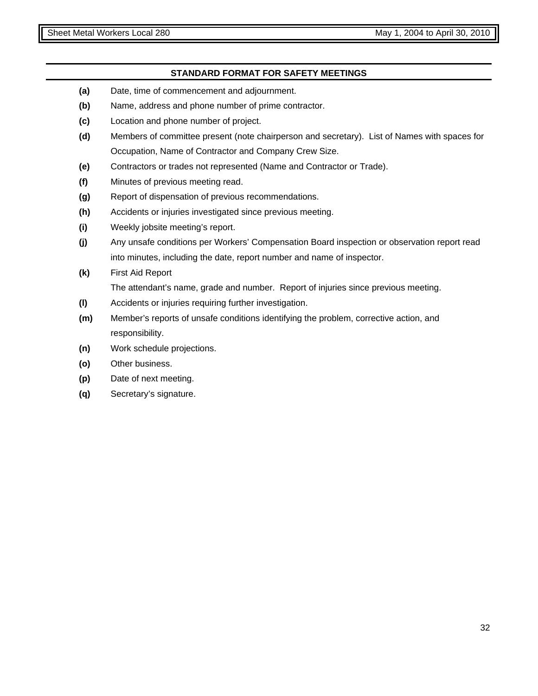#### **STANDARD FORMAT FOR SAFETY MEETINGS**

- **(a)** Date, time of commencement and adjournment.
- **(b)** Name, address and phone number of prime contractor.
- **(c)** Location and phone number of project.
- **(d)** Members of committee present (note chairperson and secretary). List of Names with spaces for Occupation, Name of Contractor and Company Crew Size.
- **(e)** Contractors or trades not represented (Name and Contractor or Trade).
- **(f)** Minutes of previous meeting read.
- **(g)** Report of dispensation of previous recommendations.
- **(h)** Accidents or injuries investigated since previous meeting.
- **(i)** Weekly jobsite meeting's report.
- **(j)** Any unsafe conditions per Workers' Compensation Board inspection or observation report read into minutes, including the date, report number and name of inspector.
- **(k)** First Aid Report The attendant's name, grade and number. Report of injuries since previous meeting.
- **(l)** Accidents or injuries requiring further investigation.
- **(m)** Member's reports of unsafe conditions identifying the problem, corrective action, and responsibility.
- **(n)** Work schedule projections.
- **(o)** Other business.
- **(p)** Date of next meeting.
- **(q)** Secretary's signature.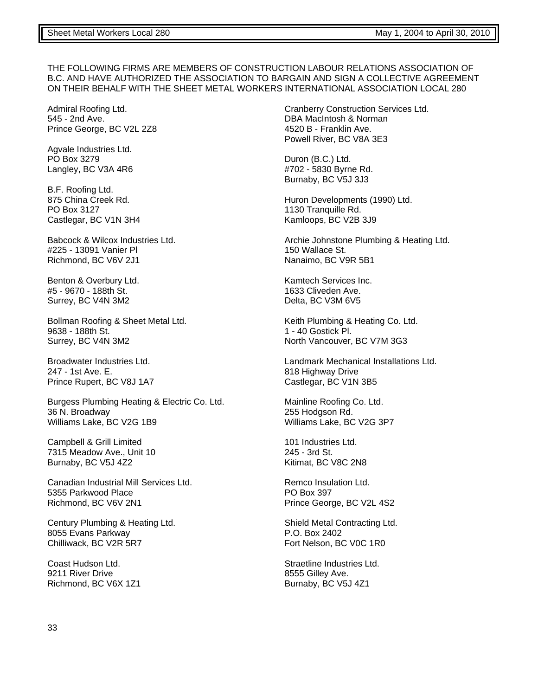#### THE FOLLOWING FIRMS ARE MEMBERS OF CONSTRUCTION LABOUR RELATIONS ASSOCIATION OF B.C. AND HAVE AUTHORIZED THE ASSOCIATION TO BARGAIN AND SIGN A COLLECTIVE AGREEMENT ON THEIR BEHALF WITH THE SHEET METAL WORKERS INTERNATIONAL ASSOCIATION LOCAL 280

Admiral Roofing Ltd. 545 - 2nd Ave. Prince George, BC V2L 2Z8

Agvale Industries Ltd. PO Box 3279 Langley, BC V3A 4R6

B.F. Roofing Ltd. 875 China Creek Rd. PO Box 3127 Castlegar, BC V1N 3H4

Babcock & Wilcox Industries Ltd. #225 - 13091 Vanier Pl Richmond, BC V6V 2J1

Benton & Overbury Ltd. #5 - 9670 - 188th St. Surrey, BC V4N 3M2

Bollman Roofing & Sheet Metal Ltd. 9638 - 188th St. Surrey, BC V4N 3M2

Broadwater Industries Ltd. 247 - 1st Ave. E. Prince Rupert, BC V8J 1A7

Burgess Plumbing Heating & Electric Co. Ltd. 36 N. Broadway Williams Lake, BC V2G 1B9

Campbell & Grill Limited 7315 Meadow Ave., Unit 10 Burnaby, BC V5J 4Z2

Canadian Industrial Mill Services Ltd. 5355 Parkwood Place Richmond, BC V6V 2N1

Century Plumbing & Heating Ltd. 8055 Evans Parkway Chilliwack, BC V2R 5R7

Coast Hudson Ltd. 9211 River Drive Richmond, BC V6X 1Z1 Cranberry Construction Services Ltd. DBA MacIntosh & Norman 4520 B - Franklin Ave. Powell River, BC V8A 3E3

Duron (B.C.) Ltd. #702 - 5830 Byrne Rd. Burnaby, BC V5J 3J3

Huron Developments (1990) Ltd. 1130 Tranquille Rd. Kamloops, BC V2B 3J9

Archie Johnstone Plumbing & Heating Ltd. 150 Wallace St. Nanaimo, BC V9R 5B1

Kamtech Services Inc. 1633 Cliveden Ave. Delta, BC V3M 6V5

Keith Plumbing & Heating Co. Ltd. 1 - 40 Gostick Pl. North Vancouver, BC V7M 3G3

Landmark Mechanical Installations Ltd. 818 Highway Drive Castlegar, BC V1N 3B5

Mainline Roofing Co. Ltd. 255 Hodgson Rd. Williams Lake, BC V2G 3P7

101 Industries Ltd. 245 - 3rd St. Kitimat, BC V8C 2N8

Remco Insulation Ltd. PO Box 397 Prince George, BC V2L 4S2

Shield Metal Contracting Ltd. P.O. Box 2402 Fort Nelson, BC V0C 1R0

Straetline Industries Ltd. 8555 Gilley Ave. Burnaby, BC V5J 4Z1